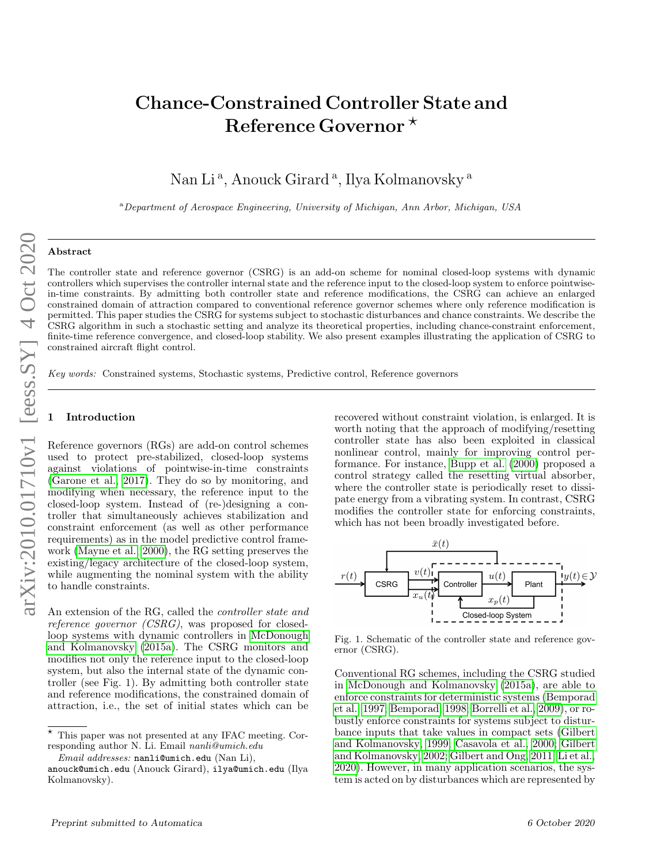# Chance-Constrained Controller State and Reference Governor  $\star$

Nan Li<sup>a</sup>, Anouck Girard<sup>a</sup>, Ilya Kolmanovsky<sup>a</sup>

<sup>a</sup>Department of Aerospace Engineering, University of Michigan, Ann Arbor, Michigan, USA

# Abstract

The controller state and reference governor (CSRG) is an add-on scheme for nominal closed-loop systems with dynamic controllers which supervises the controller internal state and the reference input to the closed-loop system to enforce pointwisein-time constraints. By admitting both controller state and reference modifications, the CSRG can achieve an enlarged constrained domain of attraction compared to conventional reference governor schemes where only reference modification is permitted. This paper studies the CSRG for systems subject to stochastic disturbances and chance constraints. We describe the CSRG algorithm in such a stochastic setting and analyze its theoretical properties, including chance-constraint enforcement, finite-time reference convergence, and closed-loop stability. We also present examples illustrating the application of CSRG to constrained aircraft flight control.

Key words: Constrained systems, Stochastic systems, Predictive control, Reference governors

## **Introduction**

Reference governors (RGs) are add-on control schemes used to protect pre-stabilized, closed-loop systems against violations of pointwise-in-time constraints [\(Garone et al., 2017\)](#page-15-0). They do so by monitoring, and modifying when necessary, the reference input to the closed-loop system. Instead of (re-)designing a controller that simultaneously achieves stabilization and constraint enforcement (as well as other performance requirements) as in the model predictive control framework [\(Mayne et al., 2000\)](#page-15-1), the RG setting preserves the existing/legacy architecture of the closed-loop system, while augmenting the nominal system with the ability to handle constraints.

An extension of the RG, called the controller state and reference governor (CSRG), was proposed for closedloop systems with dynamic controllers in [McDonough](#page-16-0) [and Kolmanovsky \(2015a\)](#page-16-0). The CSRG monitors and modifies not only the reference input to the closed-loop system, but also the internal state of the dynamic controller (see Fig. 1). By admitting both controller state and reference modifications, the constrained domain of attraction, i.e., the set of initial states which can be

Email addresses: nanli@umich.edu (Nan Li),

recovered without constraint violation, is enlarged. It is worth noting that the approach of modifying/resetting controller state has also been exploited in classical nonlinear control, mainly for improving control performance. For instance, [Bupp et al. \(2000\)](#page-15-2) proposed a control strategy called the resetting virtual absorber, where the controller state is periodically reset to dissipate energy from a vibrating system. In contrast, CSRG modifies the controller state for enforcing constraints, which has not been broadly investigated before.



Fig. 1. Schematic of the controller state and reference governor (CSRG).

Conventional RG schemes, including the CSRG studied in [McDonough and Kolmanovsky \(2015a\)](#page-16-0), are able to enforce constraints for deterministic systems [\(Bemporad](#page-15-3) [et al., 1997;](#page-15-3) [Bemporad, 1998;](#page-15-4) [Borrelli et al., 2009\)](#page-15-5), or robustly enforce constraints for systems subject to disturbance inputs that take values in compact sets [\(Gilbert](#page-15-6) [and Kolmanovsky, 1999;](#page-15-6) [Casavola et al., 2000;](#page-15-7) [Gilbert](#page-15-8) [and Kolmanovsky, 2002;](#page-15-8) [Gilbert and Ong, 2011;](#page-15-9) [Li et al.,](#page-15-10) [2020\)](#page-15-10). However, in many application scenarios, the system is acted on by disturbances which are represented by

 $\star$  This paper was not presented at any IFAC meeting. Corresponding author N. Li. Email nanli@umich.edu

anouck@umich.edu (Anouck Girard), ilya@umich.edu (Ilya Kolmanovsky).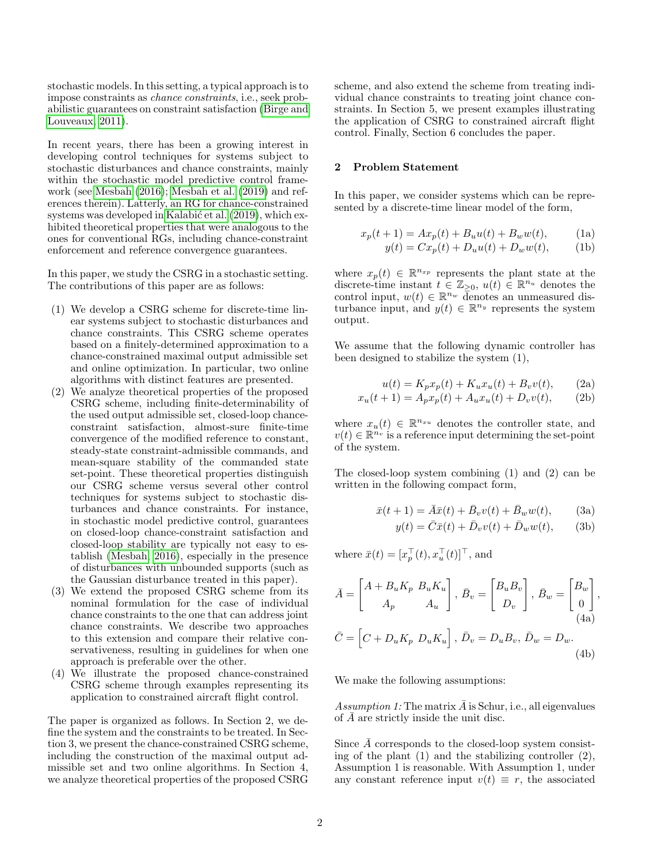stochastic models. In this setting, a typical approach is to impose constraints as chance constraints, i.e., seek probabilistic guarantees on constraint satisfaction [\(Birge and](#page-15-11) [Louveaux, 2011\)](#page-15-11).

In recent years, there has been a growing interest in developing control techniques for systems subject to stochastic disturbances and chance constraints, mainly within the stochastic model predictive control framework (see [Mesbah \(2016\)](#page-16-1); [Mesbah et al. \(2019\)](#page-16-2) and references therein). Latterly, an RG for chance-constrained systems was developed in Kalabić et al. (2019), which exhibited theoretical properties that were analogous to the ones for conventional RGs, including chance-constraint enforcement and reference convergence guarantees.

In this paper, we study the CSRG in a stochastic setting. The contributions of this paper are as follows:

- (1) We develop a CSRG scheme for discrete-time linear systems subject to stochastic disturbances and chance constraints. This CSRG scheme operates based on a finitely-determined approximation to a chance-constrained maximal output admissible set and online optimization. In particular, two online algorithms with distinct features are presented.
- (2) We analyze theoretical properties of the proposed CSRG scheme, including finite-determinability of the used output admissible set, closed-loop chanceconstraint satisfaction, almost-sure finite-time convergence of the modified reference to constant, steady-state constraint-admissible commands, and mean-square stability of the commanded state set-point. These theoretical properties distinguish our CSRG scheme versus several other control techniques for systems subject to stochastic disturbances and chance constraints. For instance, in stochastic model predictive control, guarantees on closed-loop chance-constraint satisfaction and closed-loop stability are typically not easy to establish [\(Mesbah, 2016\)](#page-16-1), especially in the presence of disturbances with unbounded supports (such as the Gaussian disturbance treated in this paper).
- (3) We extend the proposed CSRG scheme from its nominal formulation for the case of individual chance constraints to the one that can address joint chance constraints. We describe two approaches to this extension and compare their relative conservativeness, resulting in guidelines for when one approach is preferable over the other.
- (4) We illustrate the proposed chance-constrained CSRG scheme through examples representing its application to constrained aircraft flight control.

The paper is organized as follows. In Section 2, we define the system and the constraints to be treated. In Section 3, we present the chance-constrained CSRG scheme, including the construction of the maximal output admissible set and two online algorithms. In Section 4, we analyze theoretical properties of the proposed CSRG

scheme, and also extend the scheme from treating individual chance constraints to treating joint chance constraints. In Section 5, we present examples illustrating the application of CSRG to constrained aircraft flight control. Finally, Section 6 concludes the paper.

# 2 Problem Statement

In this paper, we consider systems which can be represented by a discrete-time linear model of the form,

$$
x_p(t+1) = Ax_p(t) + B_u u(t) + B_w w(t),
$$
 (1a)  

$$
y(t) = Cx_p(t) + D_u u(t) + D_w w(t),
$$
 (1b)

where  $x_p(t) \in \mathbb{R}^{n_{xp}}$  represents the plant state at the discrete-time instant  $t \in \mathbb{Z}_{\geq 0}$ ,  $u(t) \in \mathbb{R}^{n_u}$  denotes the control input,  $w(t) \in \mathbb{R}^{n_w}$  denotes an unmeasured disturbance input, and  $y(t) \in \mathbb{R}^{n_y}$  represents the system output.

We assume that the following dynamic controller has been designed to stabilize the system (1),

$$
u(t) = K_p x_p(t) + K_u x_u(t) + B_v v(t), \qquad (2a)
$$

$$
x_u(t+1) = A_p x_p(t) + A_u x_u(t) + D_v v(t), \qquad (2b)
$$

where  $x_u(t) \in \mathbb{R}^{n_{x_u}}$  denotes the controller state, and  $v(t) \in \mathbb{R}^{\tilde{n}_v}$  is a reference input determining the set-point of the system.

The closed-loop system combining (1) and (2) can be written in the following compact form,

$$
\bar{x}(t+1) = \bar{A}\bar{x}(t) + \bar{B}_v v(t) + \bar{B}_w w(t),
$$
\n
$$
y(t) = \bar{C}\bar{x}(t) + \bar{D}_v v(t) + \bar{D}_w w(t),
$$
\n(3b)

where  $\bar{x}(t) = [x_p^{\top}(t), x_u^{\top}(t)]^{\top}$ , and

$$
\bar{A} = \begin{bmatrix} A + B_u K_p & B_u K_u \\ A_p & A_u \end{bmatrix}, \ \bar{B}_v = \begin{bmatrix} B_u B_v \\ D_v \end{bmatrix}, \ \bar{B}_w = \begin{bmatrix} B_w \\ 0 \end{bmatrix},
$$
\n
$$
\bar{C} = \begin{bmatrix} C + D_u K_p & D_u K_u \end{bmatrix}, \ \bar{D}_v = D_u B_v, \ \bar{D}_w = D_w.
$$
\n
$$
(4b)
$$

We make the following assumptions:

Assumption 1: The matrix  $\overline{A}$  is Schur, i.e., all eigenvalues of  $\overline{A}$  are strictly inside the unit disc.

Since  $\overline{A}$  corresponds to the closed-loop system consisting of the plant (1) and the stabilizing controller (2), Assumption 1 is reasonable. With Assumption 1, under any constant reference input  $v(t) \equiv r$ , the associated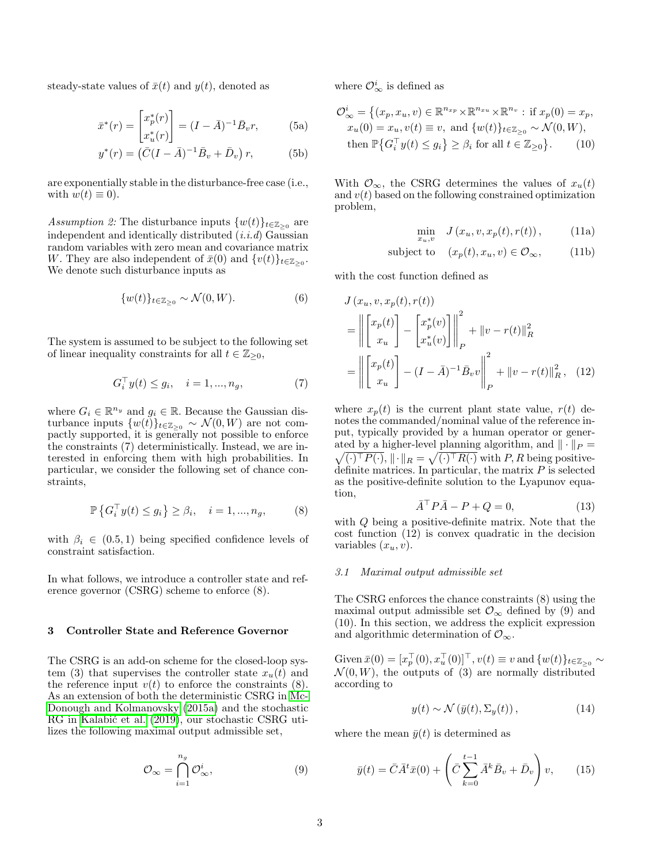steady-state values of  $\bar{x}(t)$  and  $y(t)$ , denoted as

$$
\bar{x}^*(r) = \begin{bmatrix} x_p^*(r) \\ x_u^*(r) \end{bmatrix} = (I - \bar{A})^{-1} \bar{B}_v r,
$$
 (5a)

$$
y^*(r) = (\bar{C}(I - \bar{A})^{-1}\bar{B}_v + \bar{D}_v) r, \tag{5b}
$$

are exponentially stable in the disturbance-free case (i.e., with  $w(t) \equiv 0$ ).

Assumption 2: The disturbance inputs  $\{w(t)\}_{t\in\mathbb{Z}_{\geq 0}}$  are independent and identically distributed  $(i.i.d)$  Gaussian random variables with zero mean and covariance matrix W. They are also independent of  $\bar{x}(0)$  and  $\{v(t)\}_{t\in\mathbb{Z}_{\geq 0}}$ . We denote such disturbance inputs as

$$
\{w(t)\}_{t \in \mathbb{Z}_{\geq 0}} \sim \mathcal{N}(0, W). \tag{6}
$$

The system is assumed to be subject to the following set of linear inequality constraints for all  $t \in \mathbb{Z}_{\geq 0}$ ,

$$
G_i^{\top} y(t) \le g_i, \quad i = 1, ..., n_g,
$$
 (7)

where  $G_i \in \mathbb{R}^{n_y}$  and  $g_i \in \mathbb{R}$ . Because the Gaussian disturbance inputs  $\{w(t)\}_{t\in\mathbb{Z}_{\geq 0}} \sim \mathcal{N}(0, W)$  are not compactly supported, it is generally not possible to enforce the constraints (7) deterministically. Instead, we are interested in enforcing them with high probabilities. In particular, we consider the following set of chance constraints,

$$
\mathbb{P}\left\{G_i^{\top}y(t) \le g_i\right\} \ge \beta_i, \quad i = 1, ..., n_g,
$$
 (8)

with  $\beta_i \in (0.5, 1)$  being specified confidence levels of constraint satisfaction.

In what follows, we introduce a controller state and reference governor (CSRG) scheme to enforce (8).

# 3 Controller State and Reference Governor

The CSRG is an add-on scheme for the closed-loop system (3) that supervises the controller state  $x_u(t)$  and the reference input  $v(t)$  to enforce the constraints (8). As an extension of both the deterministic CSRG in [Mc-](#page-16-0)[Donough and Kolmanovsky \(2015a\)](#page-16-0) and the stochastic RG in Kalabić et al. (2019), our stochastic CSRG utilizes the following maximal output admissible set,

$$
\mathcal{O}_{\infty} = \bigcap_{i=1}^{n_g} \mathcal{O}_{\infty}^i,\tag{9}
$$

where  $\mathcal{O}_{\infty}^{i}$  is defined as

$$
\mathcal{O}_{\infty}^{i} = \left\{ (x_p, x_u, v) \in \mathbb{R}^{n_{xp}} \times \mathbb{R}^{n_{xu}} \times \mathbb{R}^{n_v} : \text{ if } x_p(0) = x_p, \ x_u(0) = x_u, v(t) \equiv v, \text{ and } \{w(t)\}_{t \in \mathbb{Z}_{\geq 0}} \sim \mathcal{N}(0, W), \text{ then } \mathbb{P}\left\{G_i^\top y(t) \leq g_i\right\} \geq \beta_i \text{ for all } t \in \mathbb{Z}_{\geq 0} \right\}. \tag{10}
$$

With  $\mathcal{O}_{\infty}$ , the CSRG determines the values of  $x_u(t)$ and  $v(t)$  based on the following constrained optimization problem,

$$
\min_{x_u, v} \quad J(x_u, v, x_p(t), r(t)), \tag{11a}
$$

subject to 
$$
(x_p(t), x_u, v) \in \mathcal{O}_{\infty}
$$
, (11b)

with the cost function defined as

$$
J(x_u, v, x_p(t), r(t))
$$
  
=  $\left\| \begin{bmatrix} x_p(t) \\ x_u \end{bmatrix} - \begin{bmatrix} x_p^*(v) \\ x_u^*(v) \end{bmatrix} \right\|_P^2 + \|v - r(t)\|_R^2$   
=  $\left\| \begin{bmatrix} x_p(t) \\ x_u \end{bmatrix} - (I - \bar{A})^{-1} \bar{B}_v v \right\|_P^2 + \|v - r(t)\|_R^2$ , (12)

where  $x_p(t)$  is the current plant state value,  $r(t)$  denotes the commanded/nominal value of the reference input, typically provided by a human operator or generated by a higher-level planning algorithm, and  $\|\cdot\|_P =$  $\sqrt{(\cdot)^{\top} P(\cdot)}, \|\cdot\|_{R} = \sqrt{(\cdot)^{\top} R(\cdot)}$  with P, R being positivedefinite matrices. In particular, the matrix  $P$  is selected as the positive-definite solution to the Lyapunov equation,

$$
\bar{A}^{\top} P \bar{A} - P + Q = 0,\tag{13}
$$

with Q being a positive-definite matrix. Note that the cost function (12) is convex quadratic in the decision variables  $(x_u, v)$ .

#### 3.1 Maximal output admissible set

The CSRG enforces the chance constraints (8) using the maximal output admissible set  $\mathcal{O}_{\infty}$  defined by (9) and (10). In this section, we address the explicit expression and algorithmic determination of  $\mathcal{O}_{\infty}$ .

Given  $\bar{x}(0) = [x_p^{\top}(0), x_u^{\top}(0)]^{\top}$ ,  $v(t) \equiv v$  and  $\{w(t)\}_{t \in \mathbb{Z}_{\geq 0}} \sim$  $\mathcal{N}(0, W)$ , the outputs of (3) are normally distributed according to

$$
y(t) \sim \mathcal{N}\left(\bar{y}(t), \Sigma_y(t)\right),\tag{14}
$$

where the mean  $\bar{y}(t)$  is determined as

$$
\bar{y}(t) = \bar{C}\bar{A}^t \bar{x}(0) + \left(\bar{C}\sum_{k=0}^{t-1} \bar{A}^k \bar{B}_v + \bar{D}_v\right)v,
$$
\n(15)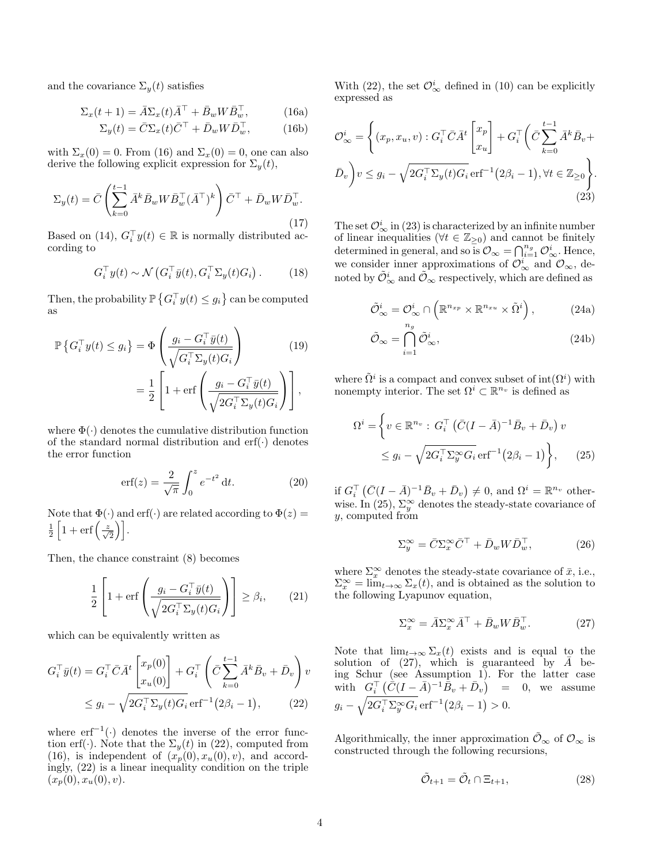and the covariance  $\Sigma_{y}(t)$  satisfies

$$
\Sigma_x(t+1) = \bar{A}\Sigma_x(t)\bar{A}^\top + \bar{B}_w W \bar{B}_w^\top,\tag{16a}
$$

$$
\Sigma_y(t) = \bar{C}\Sigma_x(t)\bar{C}^\top + \bar{D}_w W \bar{D}_w^\top,\tag{16b}
$$

with  $\Sigma_x(0) = 0$ . From (16) and  $\Sigma_x(0) = 0$ , one can also derive the following explicit expression for  $\Sigma_y(t)$ ,

$$
\Sigma_y(t) = \bar{C} \left( \sum_{k=0}^{t-1} \bar{A}^k \bar{B}_w W \bar{B}_w^\top (\bar{A}^\top)^k \right) \bar{C}^\top + \bar{D}_w W \bar{D}_w^\top.
$$
\n(17)

Based on (14),  $G_i^{\top}y(t) \in \mathbb{R}$  is normally distributed according to

$$
G_i^{\top} y(t) \sim \mathcal{N}\left(G_i^{\top} \bar{y}(t), G_i^{\top} \Sigma_y(t) G_i\right). \tag{18}
$$

Then, the probability  $\mathbb{P}\left\{G_i^\top y(t) \leq g_i\right\}$  can be computed as

$$
\mathbb{P}\left\{G_i^{\top}y(t) \le g_i\right\} = \Phi\left(\frac{g_i - G_i^{\top}\bar{y}(t)}{\sqrt{G_i^{\top}\Sigma_y(t)G_i}}\right) \tag{19}
$$
\n
$$
= \frac{1}{2}\left[1 + \text{erf}\left(\frac{g_i - G_i^{\top}\bar{y}(t)}{\sqrt{2G_i^{\top}\Sigma_y(t)G_i}}\right)\right],
$$

where  $\Phi(\cdot)$  denotes the cumulative distribution function of the standard normal distribution and  $\text{erf}(\cdot)$  denotes the error function

$$
\text{erf}(z) = \frac{2}{\sqrt{\pi}} \int_0^z e^{-t^2} dt. \tag{20}
$$

Note that  $\Phi(\cdot)$  and erf $(\cdot)$  are related according to  $\Phi(z)$  =  $\frac{1}{2}\left[1+\operatorname{erf}\left(\frac{z}{\sqrt{2}}\right)\right].$ 

Then, the chance constraint (8) becomes

$$
\frac{1}{2} \left[ 1 + \text{erf}\left( \frac{g_i - G_i^{\top} \bar{y}(t)}{\sqrt{2G_i^{\top} \Sigma_y(t) G_i}} \right) \right] \ge \beta_i, \qquad (21)
$$

which can be equivalently written as

$$
G_i^{\top} \bar{y}(t) = G_i^{\top} \bar{C} \bar{A}^t \begin{bmatrix} x_p(0) \\ x_u(0) \end{bmatrix} + G_i^{\top} \left( \bar{C} \sum_{k=0}^{t-1} \bar{A}^k \bar{B}_v + \bar{D}_v \right) v
$$
  
 
$$
\leq g_i - \sqrt{2G_i^{\top} \Sigma_y(t) G_i} \operatorname{erf}^{-1} (2\beta_i - 1), \qquad (22)
$$

where  $erf^{-1}(\cdot)$  denotes the inverse of the error function erf(·). Note that the  $\Sigma_y(t)$  in (22), computed from (16), is independent of  $(x_p(0), x_u(0), v)$ , and accordingly, (22) is a linear inequality condition on the triple  $(x_p(0), x_u(0), v).$ 

With (22), the set  $\mathcal{O}_{\infty}^{i}$  defined in (10) can be explicitly expressed as

$$
\mathcal{O}_{\infty}^{i} = \left\{ (x_p, x_u, v) : G_i^{\top} \bar{C} \bar{A}^t \begin{bmatrix} x_p \\ x_u \end{bmatrix} + G_i^{\top} \left( \bar{C} \sum_{k=0}^{t-1} \bar{A}^k \bar{B}_v + \bar{D}_v \right) \right\}
$$

$$
\bar{D}_v \right\} v \leq g_i - \sqrt{2G_i^{\top} \Sigma_y(t) G_i} \operatorname{erf}^{-1}(2\beta_i - 1), \forall t \in \mathbb{Z}_{\geq 0} \right\}.
$$
(23)

The set  $\mathcal{O}_{\infty}^{i}$  in (23) is characterized by an infinite number of linear inequalities ( $\forall t \in \mathbb{Z}_{\geq 0}$ ) and cannot be finitely determined in general, and so is  $\mathcal{O}_{\infty} = \bigcap_{i=1}^{n_g} \mathcal{O}_{\infty}^i$ . Hence, we consider inner approximations of  $\mathcal{O}_{\infty}^i$  and  $\mathcal{O}_{\infty}$ , denoted by  $\tilde{\mathcal{O}}^i_{\infty}$  and  $\tilde{\mathcal{O}}_{\infty}$  respectively, which are defined as

$$
\tilde{\mathcal{O}}_{\infty}^{i} = \mathcal{O}_{\infty}^{i} \cap \left( \mathbb{R}^{n_{xp}} \times \mathbb{R}^{n_{xu}} \times \tilde{\Omega}^{i} \right), \tag{24a}
$$

$$
\tilde{\mathcal{O}}_{\infty} = \bigcap_{i=1}^{n_g} \tilde{\mathcal{O}}_{\infty}^i,\tag{24b}
$$

where  $\tilde{\Omega}^i$  is a compact and convex subset of  $\text{int}(\Omega^i)$  with nonempty interior. The set  $\Omega^i \subset \mathbb{R}^{n_v}$  is defined as

$$
\Omega^{i} = \left\{ v \in \mathbb{R}^{n_v} : G_i^{\top} (\bar{C} (I - \bar{A})^{-1} \bar{B}_v + \bar{D}_v) v \le g_i - \sqrt{2G_i^{\top} \Sigma_y^{\infty} G_i} \operatorname{erf}^{-1} (2\beta_i - 1) \right\}, \qquad (25)
$$

if  $G_i^{\top}(\bar{C}(I - \bar{A})^{-1}\bar{B}_v + \bar{D}_v) \neq 0$ , and  $\Omega^i = \mathbb{R}^{n_v}$  otherwise. In (25),  $\Sigma_y^{\infty}$  denotes the steady-state covariance of  $y$ , computed from

$$
\Sigma_y^{\infty} = \bar{C} \Sigma_x^{\infty} \bar{C}^{\top} + \bar{D}_w W \bar{D}_w^{\top}, \tag{26}
$$

where  $\Sigma_x^{\infty}$  denotes the steady-state covariance of  $\bar{x}$ , i.e.,  $\Sigma_x^{\infty} = \lim_{t \to \infty} \Sigma_x(t)$ , and is obtained as the solution to the following Lyapunov equation,

$$
\Sigma_x^{\infty} = \bar{A} \Sigma_x^{\infty} \bar{A}^{\top} + \bar{B}_w W \bar{B}_w^{\top}.
$$
 (27)

Note that  $\lim_{t\to\infty}\sum_x(t)$  exists and is equal to the solution of (27), which is guaranteed by  $\bar{A}$  being Schur (see Assumption 1). For the latter case with  $G_i^{\top} (\dot{\bar{C}}(I - \bar{A})^{-1} \dot{\bar{B}}_v + \bar{D}_v)$ = 0, we assume  $g_i - \sqrt{2G_i^{\top} \Sigma_y^{\infty} G_i} \,\text{erf}^{-1}(2\beta_i - 1) > 0.$ 

Algorithmically, the inner approximation  $\mathcal{O}_{\infty}$  of  $\mathcal{O}_{\infty}$  is constructed through the following recursions,

$$
\tilde{\mathcal{O}}_{t+1} = \tilde{\mathcal{O}}_t \cap \Xi_{t+1},\tag{28}
$$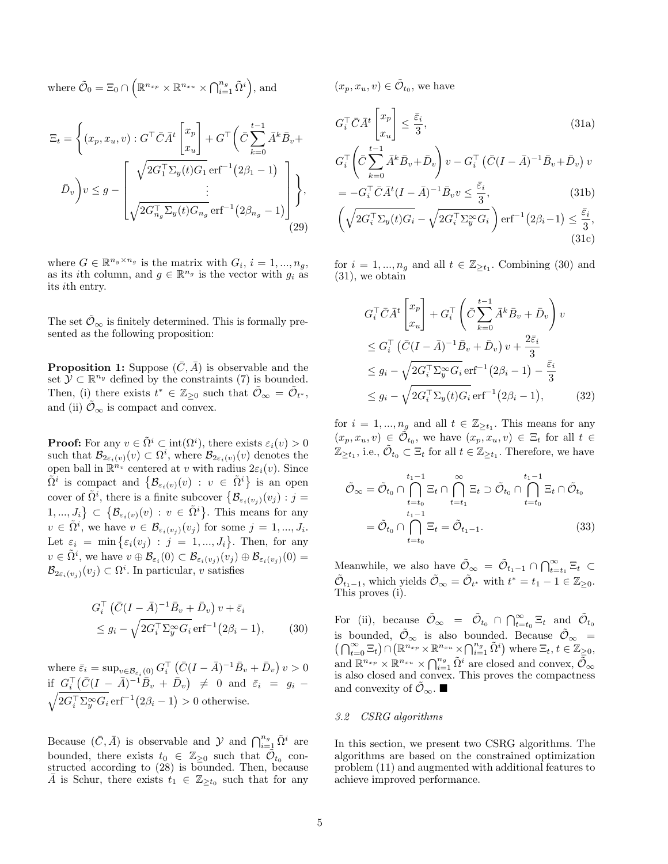where  $\tilde{\mathcal{O}}_0 = \Xi_0 \cap \left( \mathbb{R}^{n_{xp}} \times \mathbb{R}^{n_{xu}} \times \bigcap_{i=1}^{n_g} \tilde{\Omega}^i \right)$ , and

$$
\Xi_t = \left\{ (x_p, x_u, v) : G^\top \bar{C} \bar{A}^t \begin{bmatrix} x_p \\ x_u \end{bmatrix} + G^\top \left( \bar{C} \sum_{k=0}^{t-1} \bar{A}^k \bar{B}_v + \bar{D}_v \right) \right\}
$$
\n
$$
\bar{D}_v \right\} v \leq g - \left[ \sqrt{2G_1^\top \Sigma_y(t) G_1} \operatorname{erf}^{-1}(2\beta_1 - 1) \right],
$$
\n
$$
\bar{D}_v \Bigg\} v \leq g - \left[ \sqrt{2G_{n_g}^\top \Sigma_y(t) G_{n_g}} \operatorname{erf}^{-1}(2\beta_{n_g} - 1) \right],
$$
\n(29)

where  $G \in \mathbb{R}^{n_y \times n_g}$  is the matrix with  $G_i$ ,  $i = 1, ..., n_g$ , as its *i*th column, and  $g \in \mathbb{R}^{n_g}$  is the vector with  $g_i$  as its ith entry.

The set  $\mathcal{O}_\infty$  is finitely determined. This is formally presented as the following proposition:

**Proposition 1:** Suppose  $(\bar{C}, \bar{A})$  is observable and the set  $\mathcal{Y} \subset \mathbb{R}^{n_y}$  defined by the constraints (7) is bounded. Then, (i) there exists  $t^* \in \mathbb{Z}_{\geq 0}$  such that  $\tilde{\mathcal{O}}_{\infty} = \tilde{\mathcal{O}}_{t^*}$ , and (ii)  $\tilde{\mathcal{O}}_{\infty}$  is compact and convex.

**Proof:** For any  $v \in \tilde{\Omega}^i \subset \text{int}(\Omega^i)$ , there exists  $\varepsilon_i(v) > 0$ such that  $\mathcal{B}_{2\varepsilon_i(v)}(v) \subset \Omega^i$ , where  $\mathcal{B}_{2\varepsilon_i(v)}(v)$  denotes the open ball in  $\mathbb{R}^{n_v}$  centered at v with radius  $2\varepsilon_i(v)$ . Since  $\tilde{\Omega}^i$  is compact and  $\{\mathcal{B}_{\varepsilon_i(v)}(v) : v \in \tilde{\Omega}^i\}$  is an open cover of  $\tilde{\Omega}^i$ , there is a finite subcover  $\{\mathcal{B}_{\varepsilon_i(v_j)}(v_j) : j =$  $\{1, ..., J_i\} \subset \{\mathcal{B}_{\varepsilon_i(v)}(v) : v \in \tilde{\Omega}^i\}$ . This means for any  $v \in \tilde{\Omega}^i$ , we have  $v \in \mathcal{B}_{\varepsilon_i(v_j)}(v_j)$  for some  $j = 1, ..., J_i$ . Let  $\varepsilon_i = \min\{\varepsilon_i(v_j) : j = 1, ..., J_i\}$ . Then, for any  $v \in \tilde{\Omega}^i$ , we have  $v \oplus \mathcal{B}_{\varepsilon_i}(0) \subset \mathcal{B}_{\varepsilon_i(v_j)}(v_j) \oplus \mathcal{B}_{\varepsilon_i(v_j)}(0) =$  $\mathcal{B}_{2\varepsilon_i(v_j)}(v_j) \subset \Omega^i$ . In particular, v satisfies

$$
G_i^{\top} \left( \bar{C} (I - \bar{A})^{-1} \bar{B}_v + \bar{D}_v \right) v + \bar{\varepsilon}_i
$$
  
 
$$
\leq g_i - \sqrt{2G_i^{\top} \Sigma_y^{\infty} G_i} \,\mathrm{erf}^{-1} (2\beta_i - 1), \qquad (30)
$$

where  $\bar{\varepsilon}_i = \sup_{v \in \mathcal{B}_{\varepsilon_i}(0)} G_i^{\top} (\bar{C}(I - \bar{A})^{-1} \bar{B}_v + \bar{D}_v) v > 0$ if  $G_i^{\top}(\bar{C}(I - \bar{A})^{-1}\bar{B}_v + \bar{D}_v) \neq 0$  and  $\bar{\varepsilon}_i = g_i \sqrt{2G_i^{\top}\Sigma_y^{\infty}G_i}$  erf<sup>-1</sup> $(2\beta_i - 1) > 0$  otherwise.

Because  $(\bar{C}, \bar{A})$  is observable and  $\mathcal{Y}$  and  $\bigcap_{i=1}^{n_g} \tilde{\Omega}^i$  are bounded, there exists  $t_0 \in \mathbb{Z}_{\geq 0}$  such that  $\tilde{\mathcal{O}}_{t_0}$  constructed according to (28) is bounded. Then, because  $\overline{A}$  is Schur, there exists  $t_1 \in \mathbb{Z}_{\geq t_0}$  such that for any

 $(x_p, x_u, v) \in \tilde{\mathcal{O}}_{t_0}$ , we have

$$
G_i^{\top} \bar{C} \bar{A}^t \begin{bmatrix} x_p \\ x_u \end{bmatrix} \le \frac{\bar{\varepsilon}_i}{3},\tag{31a}
$$

$$
G_i^{\top} \left( \bar{C} \sum_{k=0}^{t-1} \bar{A}^k \bar{B}_v + \bar{D}_v \right) v - G_i^{\top} \left( \bar{C} (I - \bar{A})^{-1} \bar{B}_v + \bar{D}_v \right) v
$$

$$
= -G_i^\top \bar{C} \bar{A}^t (I - \bar{A})^{-1} \bar{B}_v v \le \frac{\bar{\varepsilon}_i}{3},\tag{31b}
$$

$$
\left(\sqrt{2G_i^{\top}\Sigma_y(t)G_i} - \sqrt{2G_i^{\top}\Sigma_y^{\infty}G_i}\right) \operatorname{erf}^{-1}(2\beta_i - 1) \le \frac{\bar{\varepsilon}_i}{3},\tag{31c}
$$

for  $i = 1, ..., n_g$  and all  $t \in \mathbb{Z}_{\geq t_1}$ . Combining (30) and (31), we obtain

$$
G_i^{\top} \bar{C} \bar{A}^t \begin{bmatrix} x_p \\ x_u \end{bmatrix} + G_i^{\top} \left( \bar{C} \sum_{k=0}^{t-1} \bar{A}^k \bar{B}_v + \bar{D}_v \right) v
$$
  
\n
$$
\leq G_i^{\top} \left( \bar{C} (I - \bar{A})^{-1} \bar{B}_v + \bar{D}_v \right) v + \frac{2 \bar{\varepsilon}_i}{3}
$$
  
\n
$$
\leq g_i - \sqrt{2 G_i^{\top} \Sigma_y^{\infty} G_i} \operatorname{erf}^{-1} (2 \beta_i - 1) - \frac{\bar{\varepsilon}_i}{3}
$$
  
\n
$$
\leq g_i - \sqrt{2 G_i^{\top} \Sigma_y (t) G_i} \operatorname{erf}^{-1} (2 \beta_i - 1), \qquad (32)
$$

for  $i = 1, ..., n_g$  and all  $t \in \mathbb{Z}_{\ge t_1}$ . This means for any  $(x_p, x_u, v) \in \tilde{\mathcal{O}}_{t_0}$ , we have  $(x_p, x_u, v) \in \Xi_t$  for all  $t \in$  $\mathbb{Z}_{\geq t_1}$ , i.e.,  $\tilde{\mathcal{O}}_{t_0} \subset \Xi_t$  for all  $t \in \mathbb{Z}_{\geq t_1}$ . Therefore, we have

$$
\tilde{\mathcal{O}}_{\infty} = \tilde{\mathcal{O}}_{t_0} \cap \bigcap_{t=t_0}^{t_1 - 1} \Xi_t \cap \bigcap_{t=t_1}^{\infty} \Xi_t \supset \tilde{\mathcal{O}}_{t_0} \cap \bigcap_{t=t_0}^{t_1 - 1} \Xi_t \cap \tilde{\mathcal{O}}_{t_0}
$$
\n
$$
= \tilde{\mathcal{O}}_{t_0} \cap \bigcap_{t=t_0}^{t_1 - 1} \Xi_t = \tilde{\mathcal{O}}_{t_1 - 1}.
$$
\n(33)

Meanwhile, we also have  $\tilde{\mathcal{O}}_{\infty} = \tilde{\mathcal{O}}_{t_1-1} \cap \bigcap_{t=t_1}^{\infty} \Xi_t \subset$  $\tilde{\mathcal{O}}_{t_1-1}$ , which yields  $\tilde{\mathcal{O}}_{\infty} = \tilde{\mathcal{O}}_{t^*}$  with  $t^* = t_1 - 1 \in \mathbb{Z}_{\geq 0}$ . This proves (i).

For (ii), because  $\tilde{\mathcal{O}}_{\infty} = \tilde{\mathcal{O}}_{t_0} \cap \bigcap_{t=t_0}^{\infty} \Xi_t$  and  $\tilde{\mathcal{O}}_{t_0}$ is bounded,  $\tilde{\mathcal{O}}_{\infty}$  is also bounded. Because  $\tilde{\mathcal{O}}_{\infty}$  =  $\left(\bigcap_{t=0}^{\infty} \Xi_t\right) \cap \left(\mathbb{R}^{n_{xp}} \times \mathbb{R}^{n_{xu}} \times \bigcap_{i=1}^{n_g} \tilde{\Omega}^i\right)$  where  $\Xi_t, t \in \mathbb{Z}_{\geq 0}$ , and  $\mathbb{R}^{n_{xp}} \times \mathbb{R}^{n_{xu}} \times \bigcap_{i=1}^{n_g} \tilde{\Omega}^i$  are closed and convex,  $\tilde{\mathcal{O}}_{\infty}$ is also closed and convex. This proves the compactness and convexity of  $\mathcal{O}_{\infty}$ .

### 3.2 CSRG algorithms

In this section, we present two CSRG algorithms. The algorithms are based on the constrained optimization problem (11) and augmented with additional features to achieve improved performance.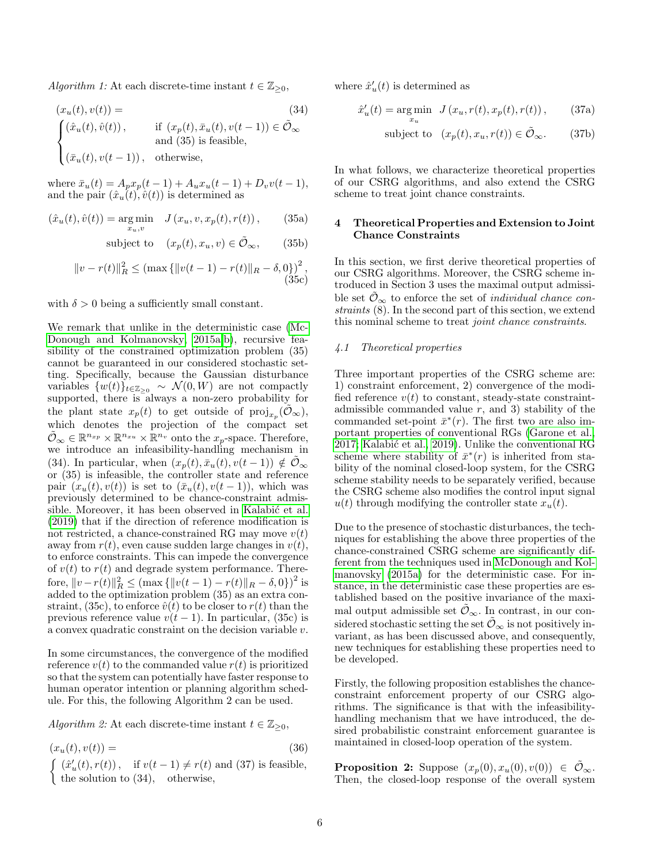Algorithm 1: At each discrete-time instant  $t \in \mathbb{Z}_{\geq 0}$ ,

$$
(x_u(t), v(t)) =
$$
\n
$$
\begin{cases}\n(\hat{x}_u(t), \hat{v}(t)), & \text{if } (x_p(t), \bar{x}_u(t), v(t-1)) \in \tilde{\mathcal{O}}_{\infty} \\
\text{and (35) is feasible,} \\
(\bar{x}_u(t), v(t-1)), & \text{otherwise,}\n\end{cases}
$$
\n(34)

where  $\bar{x}_u(t) = A_p x_p(t-1) + A_u x_u(t-1) + D_v v(t-1),$ and the pair  $(\hat{x}_u(t), \hat{v}(t))$  is determined as

$$
(\hat{x}_u(t), \hat{v}(t)) = \underset{x_u, v}{\arg \min} \quad J(x_u, v, x_p(t), r(t)), \quad (35a)
$$

subject to 
$$
(x_p(t), x_u, v) \in \tilde{\mathcal{O}}_{\infty}
$$
, (35b)

$$
||v - r(t)||2R \le (\max{||v(t - 1) - r(t)||R - \delta, 0)}2,
$$
\n(35c)

with  $\delta > 0$  being a sufficiently small constant.

We remark that unlike in the deterministic case [\(Mc-](#page-16-0)[Donough and Kolmanovsky, 2015a](#page-16-0)[,b\)](#page-16-3), recursive feasibility of the constrained optimization problem (35) cannot be guaranteed in our considered stochastic setting. Specifically, because the Gaussian disturbance variables  $\{w(t)\}_{t\in\mathbb{Z}_{\geq 0}} \sim \mathcal{N}(0, W)$  are not compactly supported, there is always a non-zero probability for the plant state  $x_p(t)$  to get outside of  $\text{proj}_{x_p}(\tilde{\mathcal{O}}_{\infty}),$ which denotes the projection of the compact set  $\tilde{\mathcal{O}}_{\infty} \in \mathbb{R}^{n_{xp}} \times \mathbb{R}^{n_{xu}} \times \mathbb{R}^{n_v}$  onto the  $x_p$ -space. Therefore, we introduce an infeasibility-handling mechanism in (34). In particular, when  $(x_n(t), \bar{x}_n(t), v(t-1)) \notin \mathcal{O}_{\infty}$ or (35) is infeasible, the controller state and reference pair  $(x_u(t), v(t))$  is set to  $(\bar{x}_u(t), v(t-1))$ , which was previously determined to be chance-constraint admissible. Moreover, it has been observed in Kalabić et al. [\(2019\)](#page-15-12) that if the direction of reference modification is not restricted, a chance-constrained RG may move  $v(t)$ away from  $r(t)$ , even cause sudden large changes in  $v(t)$ , to enforce constraints. This can impede the convergence of  $v(t)$  to  $r(t)$  and degrade system performance. Therefore,  $||v - r(t)||_R^2 \leq (\max\{||v(t-1) - r(t)||_R - \delta, 0\})^2$  is added to the optimization problem (35) as an extra constraint, (35c), to enforce  $\hat{v}(t)$  to be closer to  $r(t)$  than the previous reference value  $v(t-1)$ . In particular, (35c) is a convex quadratic constraint on the decision variable v.

In some circumstances, the convergence of the modified reference  $v(t)$  to the commanded value  $r(t)$  is prioritized so that the system can potentially have faster response to human operator intention or planning algorithm schedule. For this, the following Algorithm 2 can be used.

Algorithm 2: At each discrete-time instant  $t \in \mathbb{Z}_{\geq 0}$ ,

$$
(x_u(t), v(t)) =
$$
\n
$$
\begin{cases}\n(\hat{x}'_u(t), r(t)), & \text{if } v(t-1) \neq r(t) \text{ and } (37) \text{ is feasible,} \\
\text{the solution to } (34), & \text{otherwise,}\n\end{cases}
$$
\n(36)

where  $\hat{x}'_u(t)$  is determined as

$$
\hat{x}'_u(t) = \underset{x_u}{\text{arg min}} \quad J\left(x_u, r(t), x_p(t), r(t)\right),\tag{37a}
$$

subject to 
$$
(x_p(t), x_u, r(t)) \in \tilde{\mathcal{O}}_{\infty}.
$$
 (37b)

In what follows, we characterize theoretical properties of our CSRG algorithms, and also extend the CSRG scheme to treat joint chance constraints.

# 4 Theoretical Properties and Extension to Joint Chance Constraints

In this section, we first derive theoretical properties of our CSRG algorithms. Moreover, the CSRG scheme introduced in Section 3 uses the maximal output admissible set  $\mathcal{O}_{\infty}$  to enforce the set of *individual chance con*straints (8). In the second part of this section, we extend this nominal scheme to treat joint chance constraints.

## 4.1 Theoretical properties

Three important properties of the CSRG scheme are: 1) constraint enforcement, 2) convergence of the modified reference  $v(t)$  to constant, steady-state constraintadmissible commanded value  $r$ , and 3) stability of the commanded set-point  $\bar{x}^*(r)$ . The first two are also important properties of conventional RGs [\(Garone et al.,](#page-15-0) [2017;](#page-15-0) Kalabić et al., 2019). Unlike the conventional RG scheme where stability of  $\bar{x}^*(r)$  is inherited from stability of the nominal closed-loop system, for the CSRG scheme stability needs to be separately verified, because the CSRG scheme also modifies the control input signal  $u(t)$  through modifying the controller state  $x_u(t)$ .

Due to the presence of stochastic disturbances, the techniques for establishing the above three properties of the chance-constrained CSRG scheme are significantly different from the techniques used in [McDonough and Kol](#page-16-0)[manovsky \(2015a\)](#page-16-0) for the deterministic case. For instance, in the deterministic case these properties are established based on the positive invariance of the maximal output admissible set  $\tilde{\mathcal{O}}_{\infty}$ . In contrast, in our considered stochastic setting the set  $\tilde{\mathcal{O}}_{\infty}$  is not positively invariant, as has been discussed above, and consequently, new techniques for establishing these properties need to be developed.

Firstly, the following proposition establishes the chanceconstraint enforcement property of our CSRG algorithms. The significance is that with the infeasibilityhandling mechanism that we have introduced, the desired probabilistic constraint enforcement guarantee is maintained in closed-loop operation of the system.

**Proposition 2:** Suppose  $(x_p(0), x_u(0), v(0)) \in \tilde{\mathcal{O}}_{\infty}$ . Then, the closed-loop response of the overall system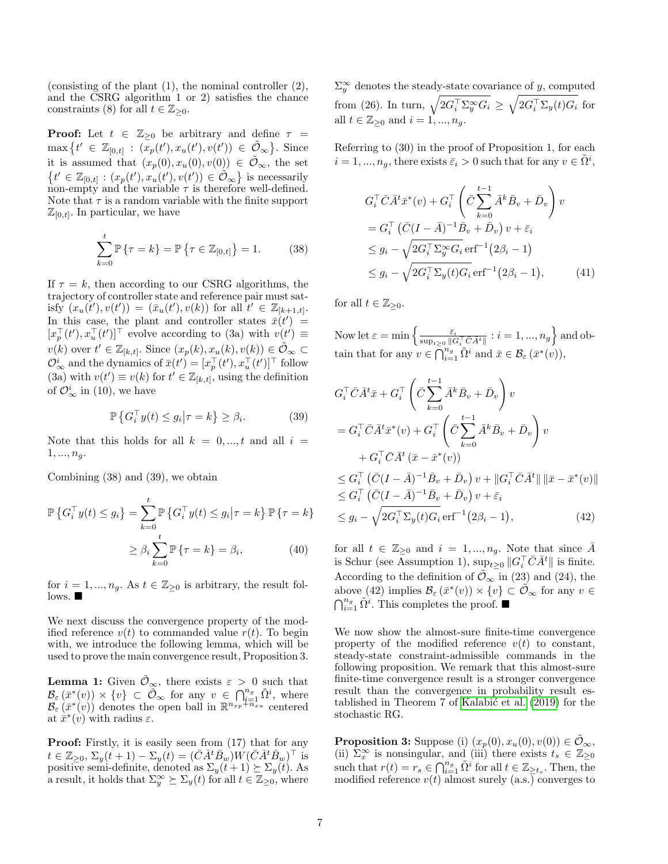(consisting of the plant (1), the nominal controller (2), and the CSRG algorithm 1 or 2) satisfies the chance constraints (8) for all  $t \in \mathbb{Z}_{\geq 0}$ .

**Proof:** Let  $t \in \mathbb{Z}_{\geq 0}$  be arbitrary and define  $\tau =$  $\max \{ t' \in \mathbb{Z}_{[0,t]} : (\bar{x}_p(t'), x_u(t'), v(t')) \in \tilde{\mathcal{O}}_{\infty} \}.$  Since it is assumed that  $(x_p(0), x_u(0), v(0)) \in \tilde{\mathcal{O}}_{\infty}$ , the set  $\{t' \in \mathbb{Z}_{[0,t]} : (x_p(t'), x_u(t'), v(t')) \in \tilde{\mathcal{O}}_{\infty}\}\$ is necessarily non-empty and the variable  $\tau$  is therefore well-defined. Note that  $\tau$  is a random variable with the finite support  $\mathbb{Z}_{[0,t]}$ . In particular, we have

$$
\sum_{k=0}^{t} \mathbb{P}\{\tau = k\} = \mathbb{P}\{\tau \in \mathbb{Z}_{[0,t]}\} = 1.
$$
 (38)

If  $\tau = k$ , then according to our CSRG algorithms, the trajectory of controller state and reference pair must satisfy  $(x_u(t'), v(t')) = (\bar{x}_u(t'), v(k))$  for all  $t' \in \mathbb{Z}_{[k+1,t]}$ . In this case, the plant and controller states  $\bar{x}(t') =$  $[x_p^{\top}(t'), x_u^{\top}(t')]^{\top}$  evolve according to (3a) with  $v(t') \equiv$  $v(k)$  over  $t' \in \mathbb{Z}_{[k,t]}$ . Since  $(x_p(k), x_u(k), v(k)) \in \tilde{\mathcal{O}}_{\infty} \subset$  $\mathcal{O}_{\infty}^{i}$  and the dynamics of  $\bar{x}(t') = [x_p^{\top}(t'), x_u^{\top}(t')]^{\top}$  follow (3a) with  $v(t') \equiv v(k)$  for  $t' \in \mathbb{Z}_{[k,t]}$ , using the definition of  $\mathcal{O}_{\infty}^{i}$  in (10), we have

$$
\mathbb{P}\left\{G_i^\top y(t) \le g_i \middle| \tau = k\right\} \ge \beta_i. \tag{39}
$$

Note that this holds for all  $k = 0, ..., t$  and all  $i =$  $1, ..., n_g$ .

Combining (38) and (39), we obtain

$$
\mathbb{P}\left\{G_i^\top y(t) \le g_i\right\} = \sum_{k=0}^t \mathbb{P}\left\{G_i^\top y(t) \le g_i \middle| \tau = k\right\} \mathbb{P}\left\{\tau = k\right\}
$$
\n
$$
\ge \beta_i \sum_{k=0}^t \mathbb{P}\left\{\tau = k\right\} = \beta_i,\tag{40}
$$

for  $i = 1, ..., n_g$ . As  $t \in \mathbb{Z}_{\geq 0}$  is arbitrary, the result fol- $\log_{10}$ 

We next discuss the convergence property of the modified reference  $v(t)$  to commanded value  $r(t)$ . To begin with, we introduce the following lemma, which will be used to prove the main convergence result, Proposition 3.

**Lemma 1:** Given  $\mathcal{O}_{\infty}$ , there exists  $\varepsilon > 0$  such that  $\mathcal{B}_{\varepsilon}(\bar{x}^*(v)) \times \{v\} \subset \widetilde{\mathcal{O}}_{\infty}$  for any  $v \in \bigcap_{i=1}^{n_g} \tilde{\Omega}^i$ , where  $\mathcal{B}_{\varepsilon}(\bar{x}^*(v))$  denotes the open ball in  $\mathbb{R}^{n_{xp}+\overline{n}_{xu}}$  centered at  $\bar{x}^*(v)$  with radius  $\varepsilon$ .

Proof: Firstly, it is easily seen from (17) that for any  $t \in \mathbb{Z}_{\geq 0}, \, \Sigma_y(t+1) - \Sigma_y(t) = (\bar{C}\bar{A}^t \bar{B}_w) W (\bar{C}\bar{A}^t \bar{B}_w)^\top$  is positive semi-definite, denoted as  $\Sigma_{y}(t+1) \succeq \Sigma_{y}(t)$ . As a result, it holds that  $\Sigma_y^{\infty} \succeq \Sigma_y(t)$  for all  $t \in \mathbb{Z}_{\geq 0}$ , where

 $\Sigma_y^{\infty}$  denotes the steady-state covariance of y, computed from (26). In turn,  $\sqrt{2G_i^{\top} \Sigma_y^{\infty} G_i} \geq \sqrt{2G_i^{\top} \Sigma_y(t) G_i}$  for all  $t \in \mathbb{Z}_{\geq 0}$  and  $i = 1, ..., n_q$ .

Referring to (30) in the proof of Proposition 1, for each  $i = 1, ..., n_g$ , there exists  $\bar{\varepsilon}_i > 0$  such that for any  $v \in \tilde{\Omega}^i$ ,

$$
G_i^{\top} \overline{C} \overline{A}^t \overline{x}^*(v) + G_i^{\top} \left( \overline{C} \sum_{k=0}^{t-1} \overline{A}^k \overline{B}_v + \overline{D}_v \right) v
$$
  
=  $G_i^{\top} \left( \overline{C} (I - \overline{A})^{-1} \overline{B}_v + \overline{D}_v \right) v + \overline{\varepsilon}_i$   
 $\leq g_i - \sqrt{2G_i^{\top} \Sigma_y^{\infty} G_i} \operatorname{erf}^{-1} (2\beta_i - 1)$   
 $\leq g_i - \sqrt{2G_i^{\top} \Sigma_y (t) G_i} \operatorname{erf}^{-1} (2\beta_i - 1),$  (41)

for all  $t \in \mathbb{Z}_{\geq 0}$ .

Now let  $\varepsilon = \min\left\{\frac{\bar{\varepsilon}_i}{\sup_{t\geq 0} \|G_i^\top \bar{C} \bar{A^t}\|} : i = 1,...,n_g\right\}$  and obtain that for any  $v \in \bigcap_{i=1}^{n_g} \tilde{\Omega}^i$  and  $\bar{x} \in \mathcal{B}_{\varepsilon}(\bar{x}^*(v)),$ 

$$
G_i^{\top} \bar{C} \bar{A}^t \bar{x} + G_i^{\top} \left( \bar{C} \sum_{k=0}^{t-1} \bar{A}^k \bar{B}_v + \bar{D}_v \right) v
$$
  
\n
$$
= G_i^{\top} \bar{C} \bar{A}^t \bar{x}^*(v) + G_i^{\top} \left( \bar{C} \sum_{k=0}^{t-1} \bar{A}^k \bar{B}_v + \bar{D}_v \right) v
$$
  
\n
$$
+ G_i^{\top} \bar{C} \bar{A}^t (\bar{x} - \bar{x}^*(v))
$$
  
\n
$$
\leq G_i^{\top} (\bar{C} (I - \bar{A})^{-1} \bar{B}_v + \bar{D}_v) v + ||G_i^{\top} \bar{C} \bar{A}^t|| ||\bar{x} - \bar{x}^*(v)||
$$
  
\n
$$
\leq G_i^{\top} (\bar{C} (I - \bar{A})^{-1} \bar{B}_v + \bar{D}_v) v + \bar{\varepsilon}_i
$$
  
\n
$$
\leq g_i - \sqrt{2G_i^{\top} \Sigma_y(t) G_i} \operatorname{erf}^{-1} (2\beta_i - 1),
$$
 (42)

for all  $t \in \mathbb{Z}_{\geq 0}$  and  $i = 1, ..., n_q$ . Note that since  $\overline{A}$ is Schur (see Assumption 1),  $\sup_{t\geq 0} \|G_i^{\top} \bar{C} \bar{A}^t\|$  is finite. According to the definition of  $\tilde{\mathcal{O}}_{\infty}$  in (23) and (24), the above (42) implies  $\mathcal{B}_{\varepsilon}(\bar{x}^*(v)) \times \{v\} \subset \tilde{\mathcal{O}}_{\infty}$  for any  $v \in$  $\bigcap_{i=1}^{n_g} \tilde{\Omega}^i$ . This completes the proof.

We now show the almost-sure finite-time convergence property of the modified reference  $v(t)$  to constant, steady-state constraint-admissible commands in the following proposition. We remark that this almost-sure finite-time convergence result is a stronger convergence result than the convergence in probability result established in Theorem 7 of Kalabić et al. (2019) for the stochastic RG.

**Proposition 3:** Suppose (i)  $(x_p(0), x_u(0), v(0)) \in \tilde{\mathcal{O}}_{\infty}$ , (ii)  $\Sigma_x^{\infty}$  is nonsingular, and (iii) there exists  $t_s \in \mathbb{Z}_{\geq 0}$ such that  $r(t) = r_s \in \bigcap_{i=1}^{n_g} \tilde{\Omega}^i$  for all  $t \in \mathbb{Z}_{\geq t_s}$ . Then, the modified reference  $v(t)$  almost surely  $(a.s.)$  converges to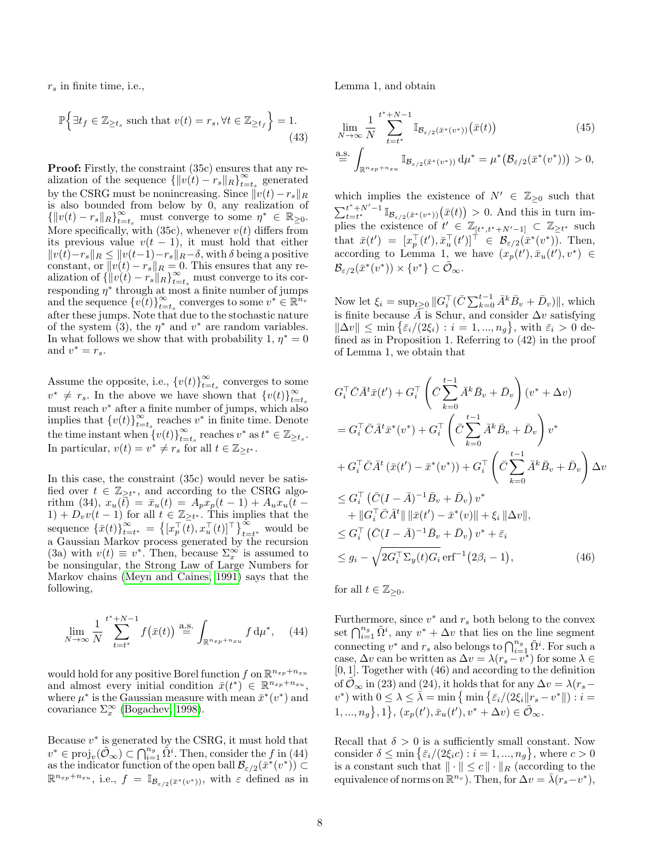$r<sub>s</sub>$  in finite time, i.e.,

$$
\mathbb{P}\Big\{\exists t_f \in \mathbb{Z}_{\geq t_s} \text{ such that } v(t) = r_s, \forall t \in \mathbb{Z}_{\geq t_f}\Big\} = 1.
$$
\n(43)

Proof: Firstly, the constraint (35c) ensures that any realization of the sequence  $\{\|v(t) - r_s\|_R\}_{t=0}^{\infty}$  $\sum_{t=t_s}^{\infty}$  generated by the CSRG must be nonincreasing. Since  $||v(t)-r_s||_R$ is also bounded from below by 0, any realization of  $\{\|v(t) - r_s\|_R\}_{t=t_s}^{\infty}$  must converge to some  $\eta^* \in \mathbb{R}_{\geq 0}$ . More specifically, with  $(35c)$ , whenever  $v(t)$  differs from its previous value  $v(t-1)$ , it must hold that either  $||v(t)-r_s||_R ≤ ||v(t-1)-r_s||_R-δ$ , with δ being a positive constant, or  $||v(t) - r_s||_R = 0$ . This ensures that any realization of  $\{\Vert v(t) - r_s \Vert_R \}_{t=t_s}^{\infty}$  must converge to its corresponding  $\eta^*$  through at most a finite number of jumps and the sequence  $\{v(t)\}_{t=0}^{\infty}$  $\sum_{t=t_s}^{\infty}$  converges to some  $v^* \in \mathbb{R}^{n_v}$ after these jumps. Note that due to the stochastic nature of the system (3), the  $\eta^*$  and  $v^*$  are random variables. In what follows we show that with probability 1,  $\eta^* = 0$ and  $v^* = r_s$ .

Assume the opposite, i.e.,  $\{v(t)\}_{t=0}^{\infty}$  $\sum_{t=t_s}^{\infty}$  converges to some  $v^* \neq r_s$ . In the above we have shown that  $\{v(t)\}_{t=0}^{\infty}$  $t = t_s$ must reach  $v^*$  after a finite number of jumps, which also implies that  $\{v(t)\}_{t=0}^{\infty}$  $\sum_{t=t_s}^{\infty}$  reaches  $v^*$  in finite time. Denote the time instant when  $\{v(t)\}_{t=0}^{\infty}$  $\sum_{t=t_s}^{\infty}$  reaches  $v^*$  as  $t^* \in \mathbb{Z}_{\geq t_s}$ . In particular,  $v(t) = v^* \neq r_s$  for all  $t \in \mathbb{Z}_{\geq t^*}$ .

In this case, the constraint (35c) would never be satisfied over  $t \in \mathbb{Z}_{\geq t^*}$ , and according to the CSRG algorithm (34),  $x_u(\bar{t}) = \bar{x}_u(t) = A_p x_p(t-1) + A_u x_u(t-1)$  $(1) + D_v v(t-1)$  for all  $t \in \mathbb{Z}_{\geq t^*}$ . This implies that the sequence  $\{\bar{x}(t)\}_{t=0}^{\infty}$  $\sum_{t=t^*}^{\infty} = \left\{ \left[ x_p^{\top}(\overline{t}), x_u^{\top}(t) \right]^{\top} \right\}_{t=t^*}^{\infty}$  would be a Gaussian Markov process generated by the recursion (3a) with  $v(t) \equiv v^*$ . Then, because  $\Sigma_x^{\infty}$  is assumed to be nonsingular, the Strong Law of Large Numbers for Markov chains [\(Meyn and Caines, 1991\)](#page-16-4) says that the following,

$$
\lim_{N \to \infty} \frac{1}{N} \sum_{t=t^*}^{t^*+N-1} f(\bar{x}(t)) \stackrel{\text{a.s.}}{=} \int_{\mathbb{R}^{n_{xp}+n_{xu}}} f d\mu^*, \quad (44)
$$

would hold for any positive Borel function  $f$  on  $\mathbb{R}^{n_{xp}+n_{xu}}$ and almost every initial condition  $\bar{x}(t^*)^{\sim} \in \mathbb{R}^{n_{xp}+n_{xu}}$ , where  $\mu^*$  is the Gaussian measure with mean  $\bar{x}^*(v^*)$  and covariance  $\Sigma_x^{\infty}$  [\(Bogachev, 1998\)](#page-15-13).

Because  $v^*$  is generated by the CSRG, it must hold that  $v^* \in \text{proj}_v(\tilde{\mathcal{O}}_{\infty}) \subset \bigcap_{i=1}^{n_g} \tilde{\Omega}^i$ . Then, consider the f in (44) as the indicator function of the open ball  $\mathcal{B}_{\varepsilon/2}(\bar{x}^*(v^*)) \subset$  $\mathbb{R}^{n_{xp}+n_{xu}}$ , i.e.,  $f = \mathbb{I}_{\mathcal{B}_{\varepsilon/2}(\bar{x}^*(v^*))}$ , with  $\varepsilon$  defined as in Lemma 1, and obtain

$$
\lim_{N \to \infty} \frac{1}{N} \sum_{t=t^*}^{t^*+N-1} \mathbb{I}_{\mathcal{B}_{\varepsilon/2}(\bar{x}^*(v^*))}(\bar{x}(t)) \tag{45}
$$
\n
$$
\stackrel{\text{a.s.}}{=} \int_{\mathbb{R}^{n_{xp}+n_{xu}}} \mathbb{I}_{\mathcal{B}_{\varepsilon/2}(\bar{x}^*(v^*))} d\mu^* = \mu^* (\mathcal{B}_{\varepsilon/2}(\bar{x}^*(v^*)) > 0,
$$

which implies the existence of  $N' \in \mathbb{Z}_{\geq 0}$  such that  $\sum_{t=t^*}^{t^*+N'-1} \mathbb{I}_{\mathcal{B}_{\varepsilon/2}(\bar{x}^*(v^*))}(\bar{x}(t)) > 0$ . And this in turn implies the existence of  $t' \in \mathbb{Z}_{[t^*, t^*+N'-1]} \subset \mathbb{Z}_{\geq t^*}$  such that  $\bar{x}(t') = [x_p^{\top}(t'), \bar{x}_u^{\top}(t')]^{\top} \in \mathcal{B}_{\varepsilon/2}(\bar{x}^*(v^*))$ . Then, according to Lemma 1, we have  $(x_p(t'), \bar{x}_u(t'), v^*) \in$  $\mathcal{B}_{\varepsilon/2}(\bar{x}^*(v^*)) \times \{v^*\} \subset \tilde{\mathcal{O}}_{\infty}.$ 

Now let  $\xi_i = \sup_{t \ge 0} ||G_i^{\top}(\bar{C} \sum_{k=0}^{t-1} \bar{A}^k \bar{B}_v + \bar{D}_v) ||$ , which is finite because  $\overline{A}$  is Schur, and consider  $\Delta v$  satisfying  $\|\Delta v\| \leq \min\left\{\bar{\varepsilon}_i/(2\xi_i): i=1,...,n_g\right\}$ , with  $\bar{\varepsilon}_i > 0$  defined as in Proposition 1. Referring to (42) in the proof of Lemma 1, we obtain that

$$
G_i^{\top} \overline{C} \overline{A}^t \overline{x}(t') + G_i^{\top} \left( \overline{C} \sum_{k=0}^{t-1} \overline{A}^k \overline{B}_v + \overline{D}_v \right) (v^* + \Delta v)
$$
  
\n
$$
= G_i^{\top} \overline{C} \overline{A}^t \overline{x}^*(v^*) + G_i^{\top} \left( \overline{C} \sum_{k=0}^{t-1} \overline{A}^k \overline{B}_v + \overline{D}_v \right) v^*
$$
  
\n
$$
+ G_i^{\top} \overline{C} \overline{A}^t (\overline{x}(t') - \overline{x}^*(v^*)) + G_i^{\top} \left( \overline{C} \sum_{k=0}^{t-1} \overline{A}^k \overline{B}_v + \overline{D}_v \right) \Delta v
$$
  
\n
$$
\leq G_i^{\top} (\overline{C} (I - \overline{A})^{-1} \overline{B}_v + \overline{D}_v) v^*
$$
  
\n
$$
+ ||G_i^{\top} \overline{C} \overline{A}^t|| ||\overline{x}(t') - \overline{x}^*(v)|| + \xi_i ||\Delta v||,
$$
  
\n
$$
\leq G_i^{\top} (\overline{C} (I - \overline{A})^{-1} \overline{B}_v + \overline{D}_v) v^* + \overline{\varepsilon}_i
$$
  
\n
$$
\leq g_i - \sqrt{2G_i^{\top} \Sigma_y(t) G_i} \operatorname{erf}^{-1} (2\beta_i - 1), \qquad (46)
$$

for all  $t \in \mathbb{Z}_{\geq 0}$ .

Furthermore, since  $v^*$  and  $r_s$  both belong to the convex set  $\bigcap_{i=1}^{n_g} \tilde{\Omega}^i$ , any  $v^* + \Delta v$  that lies on the line segment connecting  $v^*$  and  $r_s$  also belongs to  $\bigcap_{i=1}^{n_g} \tilde{\Omega}^i$ . For such a case,  $\Delta v$  can be written as  $\Delta v = \lambda (r_s - v^*)$  for some  $\lambda \in$ [0, 1]. Together with (46) and according to the definition of  $\mathcal{O}_{\infty}$  in (23) and (24), it holds that for any  $\Delta v = \lambda (r_s (v^*)$  with  $0 \leq \lambda \leq \overline{\lambda} = \min \big\{ \min \big\{ \bar{\varepsilon}_i / (2 \xi_i || r_s - v^* ||) : i = 1 \big\}$  $1, ..., n_g$ , 1,  $(x_p(t'), \bar{x}_u(t'), v^* + \Delta v) \in \tilde{\mathcal{O}}_{\infty}$ .

Recall that  $\delta > 0$  is a sufficiently small constant. Now consider  $\delta \leq \min\left\{ \bar{\varepsilon}_i/(2\xi_i c) : i = 1, ..., n_g \right\}$ , where  $c > 0$ is a constant such that  $\|\cdot\| \leq c \|\cdot\|_R$  (according to the equivalence of norms on  $\mathbb{R}^{n_v}$ ). Then, for  $\Delta v = \bar{\lambda}(r_s - v^*),$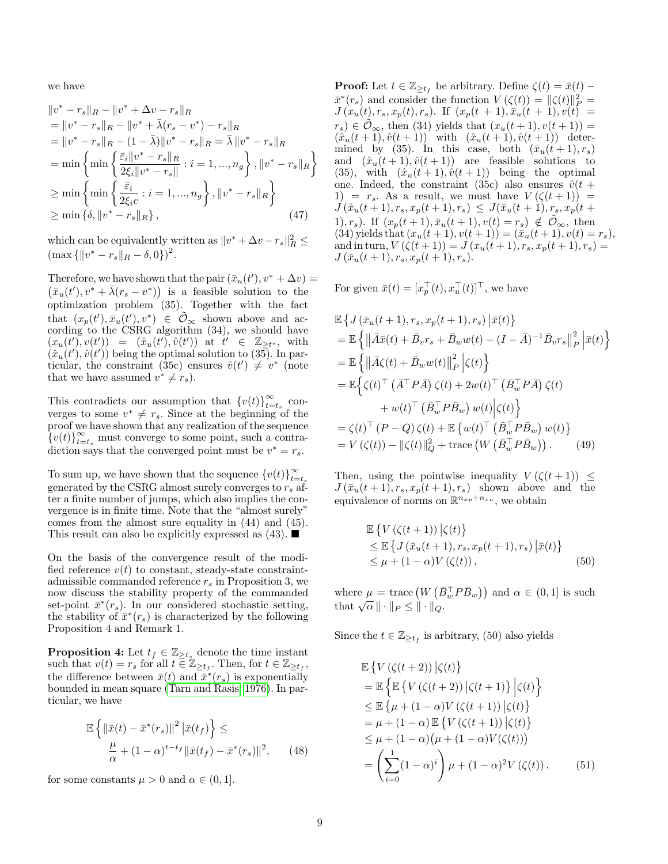we have

$$
||v^* - r_s||_R - ||v^* + \Delta v - r_s||_R
$$
  
\n
$$
= ||v^* - r_s||_R - ||v^* + \bar{\lambda}(r_s - v^*) - r_s||_R
$$
  
\n
$$
= ||v^* - r_s||_R - (1 - \bar{\lambda})||v^* - r_s||_R = \bar{\lambda}||v^* - r_s||_R
$$
  
\n
$$
= \min \left\{ \min \left\{ \frac{\bar{\varepsilon}_i ||v^* - r_s||_R}{2\xi_i ||v^* - r_s||} : i = 1, ..., n_g \right\}, ||v^* - r_s||_R \right\}
$$
  
\n
$$
\geq \min \left\{ \min \left\{ \frac{\bar{\varepsilon}_i}{2\xi_i c} : i = 1, ..., n_g \right\}, ||v^* - r_s||_R \right\}
$$
  
\n
$$
\geq \min \left\{ \delta, ||v^* - r_s||_R \right\},
$$
\n(47)

which can be equivalently written as  $||v^* + \Delta v - r_s||_R^2 \le$  $\left(\max\{\|v^* - r_s\|_{R} - \delta, 0\}\right)^2$ .

Therefore, we have shown that the pair  $(\bar{x}_u(t'), v^* + \Delta v) =$  $(\bar{x}_u(t'), v^* + \bar{\lambda}(r_s - v^*))$  is a feasible solution to the optimization problem (35). Together with the fact that  $(x_p(t'), \bar{x}_u(t'), v^*) \in \tilde{\mathcal{O}}_{\infty}$  shown above and according to the CSRG algorithm (34), we should have  $(x_u(t'), v(t')) = (\hat{x}_u(t'), \hat{v}(t'))$  at  $\hat{t}' \in \mathbb{Z}_{\geq t^*},$  with  $(\hat{x}_u(t'), \hat{v}(t'))$  being the optimal solution to (35). In particular, the constraint (35c) ensures  $\hat{v}(t') \neq v^*$  (note that we have assumed  $v^* \neq r_s$ .

This contradicts our assumption that  ${v(t)}_{t-}^{\infty}$  $\sum_{t=t_s}^{\infty}$  converges to some  $v^* \neq r_s$ . Since at the beginning of the proof we have shown that any realization of the sequence  $\{v(t)\}_{t=t_s}^{\infty}$  must converge to some point, such a contradiction says that the converged point must be  $v^* = r_s$ .

To sum up, we have shown that the sequence  ${v(t)}_{t-}^{\infty}$  $t = t_s$ generated by the CSRG almost surely converges to  $r_s$  after a finite number of jumps, which also implies the convergence is in finite time. Note that the "almost surely" comes from the almost sure equality in (44) and (45). This result can also be explicitly expressed as  $(43)$ .

On the basis of the convergence result of the modified reference  $v(t)$  to constant, steady-state constraintadmissible commanded reference  $r_s$  in Proposition 3, we now discuss the stability property of the commanded set-point  $\bar{x}^*(r_s)$ . In our considered stochastic setting, the stability of  $\bar{x}^*(r_s)$  is characterized by the following Proposition 4 and Remark 1.

**Proposition 4:** Let  $t_f \in \mathbb{Z}_{\geq t_s}$  denote the time instant such that  $v(t) = r_s$  for all  $t \in \mathbb{Z}_{\geq t_f}$ . Then, for  $t \in \mathbb{Z}_{\geq t_f}$ , the difference between  $\bar{x}(t)$  and  $\bar{x}^*(r_s)$  is exponentially bounded in mean square [\(Tarn and Rasis, 1976\)](#page-16-5). In particular, we have

$$
\mathbb{E}\left\{\left\|\bar{x}(t)-\bar{x}^*(r_s)\right\|^2\left|\bar{x}(t_f)\right\}\right\le\frac{\mu}{\alpha}+(1-\alpha)^{t-t_f}\|\bar{x}(t_f)-\bar{x}^*(r_s)\|^2,\qquad(48)
$$

for some constants  $\mu > 0$  and  $\alpha \in (0, 1]$ .

**Proof:** Let  $t \in \mathbb{Z}_{\geq t_f}$  be arbitrary. Define  $\zeta(t) = \bar{x}(t)$  –  $\bar{x}^*(r_s)$  and consider the function  $V(\zeta(t)) = ||\zeta(t)||_P^2 =$  $J(x_u(t), r_s, x_p(t), r_s)$ . If  $(x_p(t + 1), \bar{x}_u(t + 1), v(t)) =$  $r_s$ )  $\in \tilde{\mathcal{O}}_{\infty}$ , then (34) yields that  $(x_u(t+1), v(t+1)) =$  $(\hat{x}_u(t+1), \hat{v}(t+1))$  with  $(\hat{x}_u(t+1), \hat{v}(t+1))$  determined by (35). In this case, both  $(\bar{x}_u(t+1), r_s)$ and  $(\hat{x}_u(t+1), \hat{v}(t+1))$  are feasible solutions to (35), with  $(\hat{x}_u(t+1), \hat{v}(t+1))$  being the optimal one. Indeed, the constraint (35c) also ensures  $\hat{v}(t +$ 1) =  $r_s$ . As a result, we must have  $V(\zeta(t+1))$  =  $J(\hat{x}_u(t+1), r_s, x_p(t+1), r_s) \leq J(\bar{x}_u(t+1), r_s, x_p(t+1))$ 1),  $r_s$ ). If  $(x_p(t+1), \bar{x}_u(t+1), v(t) = r_s) \notin \tilde{\mathcal{O}}_{\infty}$ , then (34) yields that  $(x_u(t + 1), v(t + 1)) = (\bar{x}_u(t + 1), v(t) = r_s),$ and in turn,  $V(\zeta(t+1)) = J(x_u(t+1), r_s, x_p(t+1), r_s) =$  $J(\bar{x}_u(t+1), r_s, x_p(t+1), r_s).$ 

For given  $\bar{x}(t) = [x_p^{\top}(t), x_u^{\top}(t)]^{\top}$ , we have

$$
\mathbb{E}\left\{J\left(\bar{x}_{u}(t+1),r_{s},x_{p}(t+1),r_{s}\right)\left|\bar{x}(t)\right\}\right\}
$$
\n
$$
=\mathbb{E}\left\{\left\|\bar{A}\bar{x}(t)+\bar{B}_{v}r_{s}+\bar{B}_{w}w(t)-(I-\bar{A})^{-1}\bar{B}_{v}r_{s}\right\|_{P}^{2}\left|\bar{x}(t)\right\}\right\}
$$
\n
$$
=\mathbb{E}\left\{\left\|\bar{A}\zeta(t)+\bar{B}_{w}w(t)\right\|_{P}^{2}\left|\zeta(t)\right\}\right\}
$$
\n
$$
=\mathbb{E}\left\{\zeta(t)^{\top}\left(\bar{A}^{\top}P\bar{A}\right)\zeta(t)+2w(t)^{\top}\left(\bar{B}_{w}^{\top}P\bar{A}\right)\zeta(t)\right\}
$$
\n
$$
+w(t)^{\top}\left(\bar{B}_{w}^{\top}P\bar{B}_{w}\right)w(t)\left|\zeta(t)\right\}
$$
\n
$$
=\zeta(t)^{\top}\left(P-Q\right)\zeta(t)+\mathbb{E}\left\{w(t)^{\top}\left(\bar{B}_{w}^{\top}P\bar{B}_{w}\right)w(t)\right\}
$$
\n
$$
=V\left(\zeta(t)\right)-\left\|\zeta(t)\right\|_{Q}^{2}+\text{trace}\left(W\left(\bar{B}_{w}^{\top}P\bar{B}_{w}\right)\right). \tag{49}
$$

Then, using the pointwise inequality  $V(\zeta(t+1)) \leq$  $J(\bar{x}_u(t+1), r_s, x_p(t+1), r_s)$  shown above and the equivalence of norms on  $\mathbb{R}^{n_{xp}+n_{xu}}$ , we obtain

$$
\mathbb{E}\left\{V\left(\zeta(t+1)\right)\big|\zeta(t)\right\}\leq \mathbb{E}\left\{J\left(\bar{x}_u(t+1), r_s, x_p(t+1), r_s\right)\big|\bar{x}(t)\right\}\leq \mu + (1-\alpha)V\left(\zeta(t)\right),
$$
\n(50)

where  $\mu = \text{trace}\left(W\left(\bar{B}_{w}^{\top} P \bar{B}_{w}\right)\right)$  and  $\alpha \in (0,1]$  is such where  $\mu = \text{trace}(W \mid E)$ <br>that  $\sqrt{\alpha} \parallel \cdot \parallel_P \leq \parallel \cdot \parallel_Q$ .

Since the  $t \in \mathbb{Z}_{\geq t_f}$  is arbitrary, (50) also yields

$$
\mathbb{E}\left\{V\left(\zeta(t+2)\right)|\zeta(t)\right\}\n= \mathbb{E}\left\{\mathbb{E}\left\{V\left(\zeta(t+2)\right)|\zeta(t+1)\right\}|\zeta(t)\right\}\n\leq \mathbb{E}\left\{\mu+(1-\alpha)V\left(\zeta(t+1)\right)|\zeta(t)\right\}\n= \mu+(1-\alpha)\mathbb{E}\left\{V\left(\zeta(t+1)\right)|\zeta(t)\right\}\n\leq \mu+(1-\alpha)\left(\mu+(1-\alpha)V(\zeta(t))\right)\n= \left(\sum_{i=0}^{1}(1-\alpha)^{i}\right)\mu+(1-\alpha)^{2}V(\zeta(t)). \tag{51}
$$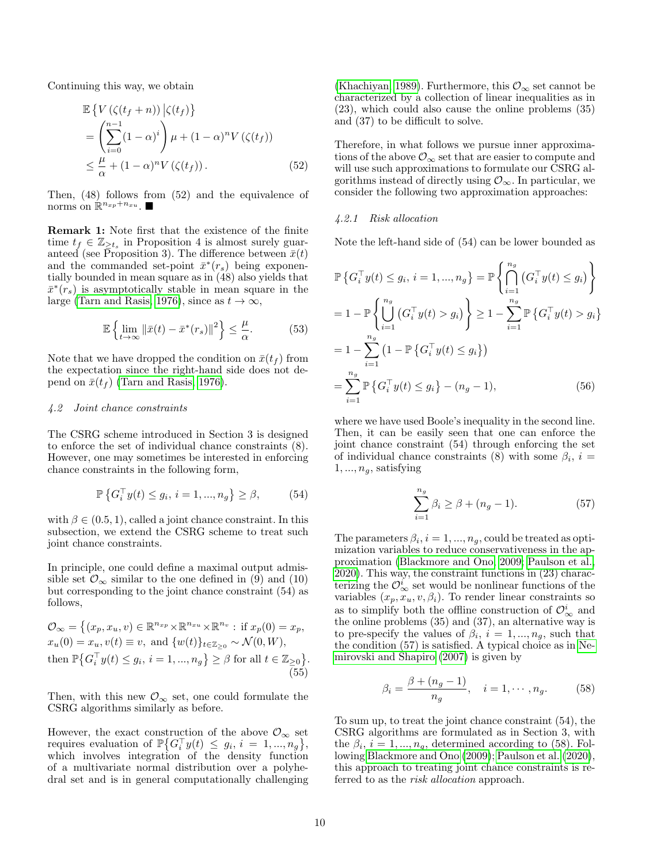Continuing this way, we obtain

$$
\mathbb{E}\left\{V\left(\zeta(t_f+n)\right)|\zeta(t_f)\right\}
$$
\n
$$
=\left(\sum_{i=0}^{n-1} (1-\alpha)^i\right)\mu + (1-\alpha)^n V\left(\zeta(t_f)\right)
$$
\n
$$
\leq \frac{\mu}{\alpha} + (1-\alpha)^n V\left(\zeta(t_f)\right). \tag{52}
$$

Then, (48) follows from (52) and the equivalence of norms on  $\mathbb{R}^{n_{xp}+n_{xu}}$ .

Remark 1: Note first that the existence of the finite time  $t_f \in \mathbb{Z}_{\geq t_s}$  in Proposition 4 is almost surely guaranteed (see Proposition 3). The difference between  $\bar{x}(t)$ and the commanded set-point  $\bar{x}^*(r_s)$  being exponentially bounded in mean square as in (48) also yields that  $\bar{x}^*(r_s)$  is asymptotically stable in mean square in the large [\(Tarn and Rasis, 1976\)](#page-16-5), since as  $t \to \infty$ ,

$$
\mathbb{E}\left\{\lim_{t\to\infty}\left\|\bar{x}(t)-\bar{x}^*(r_s)\right\|^2\right\}\leq\frac{\mu}{\alpha}.\tag{53}
$$

Note that we have dropped the condition on  $\bar{x}(t_f)$  from the expectation since the right-hand side does not depend on  $\bar{x}(t_f)$  [\(Tarn and Rasis, 1976\)](#page-16-5).

#### 4.2 Joint chance constraints

The CSRG scheme introduced in Section 3 is designed to enforce the set of individual chance constraints (8). However, one may sometimes be interested in enforcing chance constraints in the following form,

$$
\mathbb{P}\left\{G_i^{\top}y(t) \le g_i, i = 1, ..., n_g\right\} \ge \beta,\tag{54}
$$

with  $\beta \in (0.5, 1)$ , called a joint chance constraint. In this subsection, we extend the CSRG scheme to treat such joint chance constraints.

In principle, one could define a maximal output admissible set  $\mathcal{O}_{\infty}$  similar to the one defined in (9) and (10) but corresponding to the joint chance constraint (54) as follows,

$$
\mathcal{O}_{\infty} = \left\{ (x_p, x_u, v) \in \mathbb{R}^{n_{xp}} \times \mathbb{R}^{n_{xu}} \times \mathbb{R}^{n_v} : \text{if } x_p(0) = x_p, x_u(0) = x_u, v(t) \equiv v, \text{ and } \left\{ w(t) \right\}_{t \in \mathbb{Z}_{\geq 0}} \sim \mathcal{N}(0, W), \text{then } \mathbb{P}\left\{ G_i^\top y(t) \leq g_i, i = 1, ..., n_g \right\} \geq \beta \text{ for all } t \in \mathbb{Z}_{\geq 0} \right\}. \tag{55}
$$

Then, with this new  $\mathcal{O}_{\infty}$  set, one could formulate the CSRG algorithms similarly as before.

However, the exact construction of the above  $\mathcal{O}_{\infty}$  set requires evaluation of  $\mathbb{P}\big\{G_i^{\top}y(t)\leq g_i, i=1,...,n_g\big\},\$ which involves integration of the density function of a multivariate normal distribution over a polyhedral set and is in general computationally challenging [\(Khachiyan, 1989\)](#page-15-14). Furthermore, this  $\mathcal{O}_{\infty}$  set cannot be characterized by a collection of linear inequalities as in (23), which could also cause the online problems (35) and (37) to be difficult to solve.

Therefore, in what follows we pursue inner approximations of the above  $\mathcal{O}_{\infty}$  set that are easier to compute and will use such approximations to formulate our CSRG algorithms instead of directly using  $\mathcal{O}_{\infty}$ . In particular, we consider the following two approximation approaches:

## 4.2.1 Risk allocation

Note the left-hand side of (54) can be lower bounded as

$$
\mathbb{P}\left\{G_i^{\top}y(t) \le g_i, i = 1, ..., n_g\right\} = \mathbb{P}\left\{\bigcap_{i=1}^{n_g} \left(G_i^{\top}y(t) \le g_i\right)\right\}
$$
\n
$$
= 1 - \mathbb{P}\left\{\bigcup_{i=1}^{n_g} \left(G_i^{\top}y(t) > g_i\right)\right\} \ge 1 - \sum_{i=1}^{n_g} \mathbb{P}\left\{G_i^{\top}y(t) > g_i\right\}
$$
\n
$$
= 1 - \sum_{i=1}^{n_g} \left(1 - \mathbb{P}\left\{G_i^{\top}y(t) \le g_i\right\}\right)
$$
\n
$$
= \sum_{i=1}^{n_g} \mathbb{P}\left\{G_i^{\top}y(t) \le g_i\right\} - (n_g - 1),
$$
\n(56)

where we have used Boole's inequality in the second line. Then, it can be easily seen that one can enforce the joint chance constraint (54) through enforcing the set of individual chance constraints (8) with some  $\beta_i$ ,  $i =$  $1, \ldots, n_q$ , satisfying

$$
\sum_{i=1}^{n_g} \beta_i \ge \beta + (n_g - 1). \tag{57}
$$

The parameters  $\beta_i$ ,  $i = 1, ..., n_g$ , could be treated as optimization variables to reduce conservativeness in the approximation [\(Blackmore and Ono, 2009;](#page-15-15) [Paulson et al.,](#page-16-6) [2020\)](#page-16-6). This way, the constraint functions in (23) characterizing the  $\mathcal{O}_{\infty}^i$  set would be nonlinear functions of the variables  $(x_p, x_u, v, \beta_i)$ . To render linear constraints so as to simplify both the offline construction of  $\mathcal{O}_{\infty}^{i}$  and the online problems (35) and (37), an alternative way is to pre-specify the values of  $\beta_i$ ,  $i = 1, ..., n_g$ , such that the condition (57) is satisfied. A typical choice as in [Ne](#page-16-7)[mirovski and Shapiro \(2007\)](#page-16-7) is given by

$$
\beta_i = \frac{\beta + (n_g - 1)}{n_g}, \quad i = 1, \cdots, n_g. \tag{58}
$$

To sum up, to treat the joint chance constraint (54), the CSRG algorithms are formulated as in Section 3, with the  $\beta_i$ ,  $i = 1, ..., n_g$ , determined according to (58). Following [Blackmore and Ono \(2009\)](#page-15-15); [Paulson et al. \(2020\)](#page-16-6), this approach to treating joint chance constraints is referred to as the *risk allocation* approach.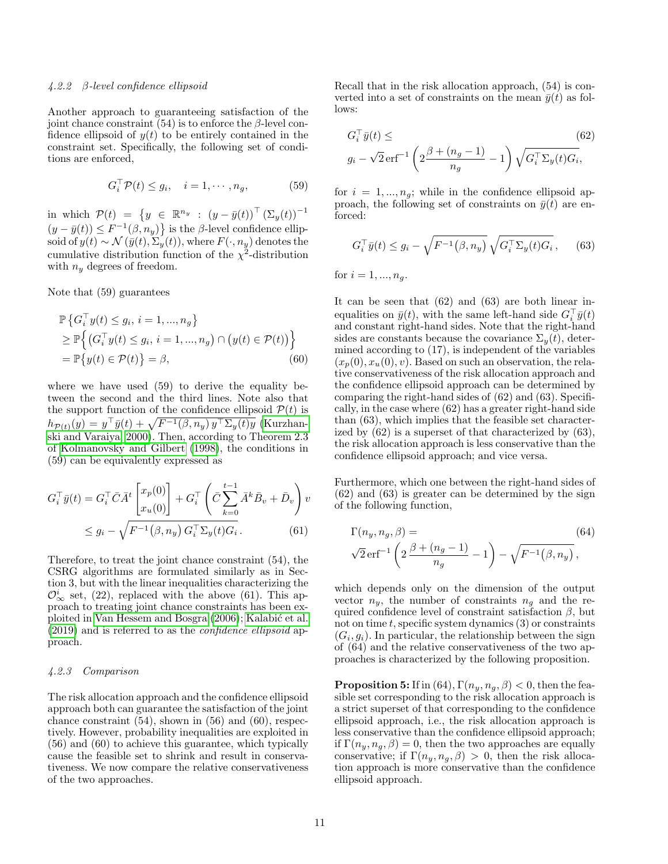#### 4.2.2 β-level confidence ellipsoid

Another approach to guaranteeing satisfaction of the joint chance constraint (54) is to enforce the  $\beta$ -level confidence ellipsoid of  $y(t)$  to be entirely contained in the constraint set. Specifically, the following set of conditions are enforced,

$$
G_i^{\top} \mathcal{P}(t) \le g_i, \quad i = 1, \cdots, n_g,
$$
 (59)

in which  $\mathcal{P}(t) = \{y \in \mathbb{R}^{n_y} : (y - \bar{y}(t))^{\top} (\Sigma_y(t))^{-1} \}$  $(y - \bar{y}(t)) \leq F^{-1}(\beta, n_y)$  is the  $\beta$ -level confidence ellipsoid of  $y(t) \sim \mathcal{N}(\bar{y}(t), \Sigma_y(t))$ , where  $F(\cdot, n_y)$  denotes the cumulative distribution function of the  $\chi^2$ -distribution with  $n_y$  degrees of freedom.

Note that (59) guarantees

$$
\mathbb{P}\left\{G_i^{\top}y(t) \le g_i, i = 1, ..., n_g\right\}
$$
  
\n
$$
\ge \mathbb{P}\left\{(G_i^{\top}y(t) \le g_i, i = 1, ..., n_g) \cap (y(t) \in \mathcal{P}(t))\right\}
$$
  
\n
$$
= \mathbb{P}\left\{y(t) \in \mathcal{P}(t)\right\} = \beta,
$$
\n(60)

where we have used (59) to derive the equality between the second and the third lines. Note also that the support function of the confidence ellipsoid  $P(t)$  is  $h_{\mathcal{P}(t)}(y) = y^{\top} \bar{y}(t) + \sqrt{F^{-1}(\beta, n_y) y^{\top} \Sigma_y(t) y}$  [\(Kurzhan](#page-15-16)[ski and Varaiya, 2000\)](#page-15-16). Then, according to Theorem 2.3 of [Kolmanovsky and Gilbert \(1998\)](#page-15-17), the conditions in (59) can be equivalently expressed as

$$
G_i^{\top} \bar{y}(t) = G_i^{\top} \bar{C} \bar{A}^t \begin{bmatrix} x_p(0) \\ x_u(0) \end{bmatrix} + G_i^{\top} \left( \bar{C} \sum_{k=0}^{t-1} \bar{A}^k \bar{B}_v + \bar{D}_v \right) v
$$
  
 
$$
\leq g_i - \sqrt{F^{-1}(\beta, n_y) G_i^{\top} \Sigma_y(t) G_i}.
$$
 (61)

Therefore, to treat the joint chance constraint (54), the CSRG algorithms are formulated similarly as in Section 3, but with the linear inequalities characterizing the  $\mathcal{O}^i_{\infty}$  set, (22), replaced with the above (61). This approach to treating joint chance constraints has been ex-ploited in [Van Hessem and Bosgra \(2006\)](#page-16-8); Kalabić et al. [\(2019\)](#page-15-12) and is referred to as the confidence ellipsoid approach.

# 4.2.3 Comparison

The risk allocation approach and the confidence ellipsoid approach both can guarantee the satisfaction of the joint chance constraint  $(54)$ , shown in  $(56)$  and  $(60)$ , respectively. However, probability inequalities are exploited in (56) and (60) to achieve this guarantee, which typically cause the feasible set to shrink and result in conservativeness. We now compare the relative conservativeness of the two approaches.

Recall that in the risk allocation approach, (54) is converted into a set of constraints on the mean  $\bar{y}(t)$  as follows:

$$
G_i^{\top} \bar{y}(t) \leq \qquad (62)
$$
  
 
$$
g_i - \sqrt{2} \operatorname{erf}^{-1} \left( 2 \frac{\beta + (n_g - 1)}{n_g} - 1 \right) \sqrt{G_i^{\top} \Sigma_y(t) G_i},
$$

for  $i = 1, ..., n_q$ ; while in the confidence ellipsoid approach, the following set of constraints on  $\bar{y}(t)$  are enforced:

$$
G_i^{\top} \bar{y}(t) \le g_i - \sqrt{F^{-1}(\beta, n_y)} \sqrt{G_i^{\top} \Sigma_y(t) G_i}, \quad (63)
$$

for  $i = 1, ..., n_q$ .

It can be seen that (62) and (63) are both linear inequalities on  $\bar{y}(t)$ , with the same left-hand side  $G_i^{\top} \bar{y}(t)$ and constant right-hand sides. Note that the right-hand sides are constants because the covariance  $\Sigma_{y}(t)$ , determined according to (17), is independent of the variables  $(x_p(0), x_u(0), v)$ . Based on such an observation, the relative conservativeness of the risk allocation approach and the confidence ellipsoid approach can be determined by comparing the right-hand sides of (62) and (63). Specifically, in the case where (62) has a greater right-hand side than (63), which implies that the feasible set characterized by (62) is a superset of that characterized by (63), the risk allocation approach is less conservative than the confidence ellipsoid approach; and vice versa.

Furthermore, which one between the right-hand sides of (62) and (63) is greater can be determined by the sign of the following function,

$$
\Gamma(n_y, n_g, \beta) =
$$
  
\n
$$
\sqrt{2} \operatorname{erf}^{-1} \left( 2 \frac{\beta + (n_g - 1)}{n_g} - 1 \right) - \sqrt{F^{-1}(\beta, n_y)},
$$
\n(64)

which depends only on the dimension of the output vector  $n_y$ , the number of constraints  $n_a$  and the required confidence level of constraint satisfaction  $\beta$ , but not on time  $t$ , specific system dynamics  $(3)$  or constraints  $(G_i, g_i)$ . In particular, the relationship between the sign of (64) and the relative conservativeness of the two approaches is characterized by the following proposition.

**Proposition 5:** If in (64),  $\Gamma(n_y, n_g, \beta) < 0$ , then the feasible set corresponding to the risk allocation approach is a strict superset of that corresponding to the confidence ellipsoid approach, i.e., the risk allocation approach is less conservative than the confidence ellipsoid approach; if  $\Gamma(n_y, n_q, \beta) = 0$ , then the two approaches are equally conservative; if  $\Gamma(n_y, n_q, \beta) > 0$ , then the risk allocation approach is more conservative than the confidence ellipsoid approach.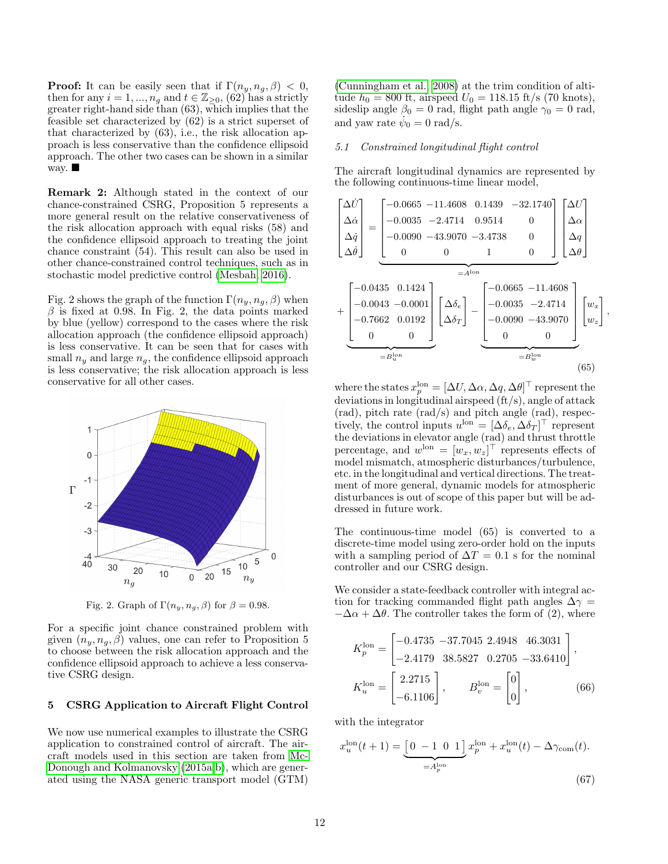**Proof:** It can be easily seen that if  $\Gamma(n_y, n_q, \beta) < 0$ , then for any  $i = 1, ..., n_g$  and  $t \in \mathbb{Z}_{\geq 0}$ , (62) has a strictly greater right-hand side than (63), which implies that the feasible set characterized by (62) is a strict superset of that characterized by (63), i.e., the risk allocation approach is less conservative than the confidence ellipsoid approach. The other two cases can be shown in a similar way.  $\blacksquare$ 

Remark 2: Although stated in the context of our chance-constrained CSRG, Proposition 5 represents a more general result on the relative conservativeness of the risk allocation approach with equal risks (58) and the confidence ellipsoid approach to treating the joint chance constraint (54). This result can also be used in other chance-constrained control techniques, such as in stochastic model predictive control [\(Mesbah, 2016\)](#page-16-1).

Fig. 2 shows the graph of the function  $\Gamma(n_y, n_g, \beta)$  when  $\beta$  is fixed at 0.98. In Fig. 2, the data points marked by blue (yellow) correspond to the cases where the risk allocation approach (the confidence ellipsoid approach) is less conservative. It can be seen that for cases with small  $n_y$  and large  $n_q$ , the confidence ellipsoid approach is less conservative; the risk allocation approach is less conservative for all other cases.



Fig. 2. Graph of  $\Gamma(n_y, n_g, \beta)$  for  $\beta = 0.98$ .

For a specific joint chance constrained problem with given  $(n_y, n_g, \beta)$  values, one can refer to Proposition 5 to choose between the risk allocation approach and the confidence ellipsoid approach to achieve a less conservative CSRG design.

## 5 CSRG Application to Aircraft Flight Control

We now use numerical examples to illustrate the CSRG application to constrained control of aircraft. The aircraft models used in this section are taken from [Mc-](#page-16-0)[Donough and Kolmanovsky \(2015a,](#page-16-0)[b\)](#page-16-3), which are generated using the NASA generic transport model (GTM)

[\(Cunningham et al., 2008\)](#page-15-18) at the trim condition of altitude  $h_0 = 800$  ft, airspeed  $U_0 = 118.15$  ft/s (70 knots), sideslip angle  $\beta_0 = 0$  rad, flight path angle  $\gamma_0 = 0$  rad, and yaw rate  $\dot{\psi}_0 = 0$  rad/s.

# 5.1 Constrained longitudinal flight control

The aircraft longitudinal dynamics are represented by the following continuous-time linear model,



where the states  $x_p^{\text{lon}} = [\Delta U, \Delta \alpha, \Delta q, \Delta \theta]^\top$  represent the deviations in longitudinal airspeed (ft/s), angle of attack (rad), pitch rate (rad/s) and pitch angle (rad), respectively, the control inputs  $u^{\text{lon}} = [\Delta \delta_e, \Delta \delta_T]^\top$  represent the deviations in elevator angle (rad) and thrust throttle percentage, and  $w^{\text{lon}} = [w_x, w_z]^\top$  represents effects of model mismatch, atmospheric disturbances/turbulence, etc. in the longitudinal and vertical directions. The treatment of more general, dynamic models for atmospheric disturbances is out of scope of this paper but will be addressed in future work.

The continuous-time model (65) is converted to a discrete-time model using zero-order hold on the inputs with a sampling period of  $\Delta T = 0.1$  s for the nominal controller and our CSRG design.

We consider a state-feedback controller with integral action for tracking commanded flight path angles  $\Delta \gamma =$  $-\Delta\alpha + \Delta\theta$ . The controller takes the form of (2), where

$$
K_p^{\text{lon}} = \begin{bmatrix} -0.4735 & -37.7045 & 2.4948 & 46.3031 \\ -2.4179 & 38.5827 & 0.2705 & -33.6410 \end{bmatrix},
$$

$$
K_u^{\text{lon}} = \begin{bmatrix} 2.2715 \\ -6.1106 \end{bmatrix}, \qquad B_v^{\text{lon}} = \begin{bmatrix} 0 \\ 0 \end{bmatrix}, \qquad (66)
$$

with the integrator

$$
x_u^{\text{lon}}(t+1) = \underbrace{\left[0 \ -1 \ 0 \ 1\right]}_{=A_p^{\text{lon}}} x_p^{\text{lon}} + x_u^{\text{lon}}(t) - \Delta \gamma_{\text{com}}(t).
$$
\n(67)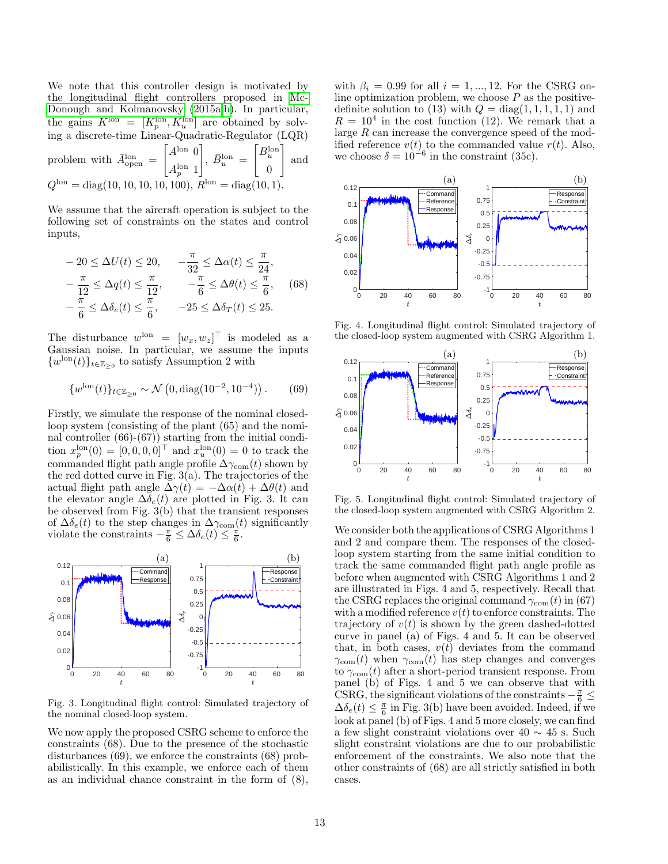We note that this controller design is motivated by the longitudinal flight controllers proposed in [Mc-](#page-16-0)[Donough and Kolmanovsky \(2015a](#page-16-0)[,b\)](#page-16-3). In particular, the gains  $K^{\text{lon}} = [K^{\text{lon}}_p, K^{\text{lon}}_u]$  are obtained by solving a discrete-time Linear-Quadratic-Regulator (LQR)

problem with  $\bar{A}_{open}^{lon}$  =  $A^{lon}$  0  $A_p^{\rm lon}$  1  $\Big], \ \bar{B}_u^{\text{lon}} = % \begin{cases} 0 & \text{if } u > 0 \\ 0 & \text{if } u < 0 \end{cases} \Big|_{\mathcal{H} = \mathcal{H} = \mathcal{H} = \mathcal{H} = \mathcal{H} = \mathcal{H} = \mathcal{H} = \mathcal{H} = \mathcal{H} = \mathcal{H} = \mathcal{H} = \mathcal{H} = \mathcal{H} = \mathcal{H} = \mathcal{H} = \mathcal{H} = \mathcal{H} = \mathcal{H} = \mathcal{H} = \mathcal{H} = \mathcal{H} = \mathcal{H} = \mathcal{H} = \math$  $B_u^{\rm lon}$ 0 1 and  $Q^{\text{lon}} = \text{diag}(10, 10, 10, 10, 100), R^{\text{lon}} = \text{diag}(10, 1).$ 

We assume that the aircraft operation is subject to the following set of constraints on the states and control inputs,

$$
-20 \le \Delta U(t) \le 20, \quad -\frac{\pi}{32} \le \Delta \alpha(t) \le \frac{\pi}{24},
$$
  

$$
-\frac{\pi}{12} \le \Delta q(t) \le \frac{\pi}{12}, \quad -\frac{\pi}{6} \le \Delta \theta(t) \le \frac{\pi}{6}, \quad (68)
$$
  

$$
-\frac{\pi}{6} \le \Delta \delta_e(t) \le \frac{\pi}{6}, \quad -25 \le \Delta \delta_T(t) \le 25.
$$

The disturbance  $w^{\text{lon}} = [w_x, w_z]^\top$  is modeled as a Gaussian noise. In particular, we assume the inputs  $\{w^{\text{lon}}(t)\}_{t\in\mathbb{Z}_{\geq 0}}$  to satisfy Assumption 2 with

$$
\{w^{\text{lon}}(t)\}_{t \in \mathbb{Z}_{\geq 0}} \sim \mathcal{N}\left(0, \text{diag}(10^{-2}, 10^{-4})\right). \tag{69}
$$

Firstly, we simulate the response of the nominal closedloop system (consisting of the plant (65) and the nominal controller (66)-(67)) starting from the initial condition  $x_p^{\text{lon}}(0) = [0, 0, 0, 0]^\top$  and  $x_u^{\text{lon}}(0) = 0$  to track the commanded flight path angle profile  $\Delta\gamma_{\rm com}(t)$  shown by the red dotted curve in Fig. 3(a). The trajectories of the actual flight path angle  $\Delta \gamma(t) = -\Delta \alpha(t) + \Delta \theta(t)$  and the elevator angle  $\Delta \delta_e(t)$  are plotted in Fig. 3. It can be observed from Fig. 3(b) that the transient responses of  $\Delta\delta_e(t)$  to the step changes in  $\Delta\gamma_{\text{com}}(t)$  significantly violate the constraints  $-\frac{\pi}{6} \leq \Delta \delta_e(t) \leq \frac{\pi}{6}$ .



Fig. 3. Longitudinal flight control: Simulated trajectory of the nominal closed-loop system.

We now apply the proposed CSRG scheme to enforce the constraints (68). Due to the presence of the stochastic disturbances (69), we enforce the constraints (68) probabilistically. In this example, we enforce each of them as an individual chance constraint in the form of (8), with  $\beta_i = 0.99$  for all  $i = 1, ..., 12$ . For the CSRG online optimization problem, we choose  $P$  as the positivedefinite solution to (13) with  $Q = diag(1, 1, 1, 1, 1)$  and  $R = 10<sup>4</sup>$  in the cost function (12). We remark that a large R can increase the convergence speed of the modified reference  $v(t)$  to the commanded value  $r(t)$ . Also, we choose  $\delta = 10^{-6}$  in the constraint (35c).



Fig. 4. Longitudinal flight control: Simulated trajectory of the closed-loop system augmented with CSRG Algorithm 1.



Fig. 5. Longitudinal flight control: Simulated trajectory of the closed-loop system augmented with CSRG Algorithm 2.

We consider both the applications of CSRG Algorithms 1 and 2 and compare them. The responses of the closedloop system starting from the same initial condition to track the same commanded flight path angle profile as before when augmented with CSRG Algorithms 1 and 2 are illustrated in Figs. 4 and 5, respectively. Recall that the CSRG replaces the original command  $\gamma_{\text{com}}(t)$  in (67) with a modified reference  $v(t)$  to enforce constraints. The trajectory of  $v(t)$  is shown by the green dashed-dotted curve in panel (a) of Figs. 4 and 5. It can be observed that, in both cases,  $v(t)$  deviates from the command  $\gamma_{\text{com}}(t)$  when  $\gamma_{\text{com}}(t)$  has step changes and converges to  $\gamma_{\text{com}}(t)$  after a short-period transient response. From panel (b) of Figs. 4 and 5 we can observe that with CSRG, the significant violations of the constraints  $-\frac{\pi}{6} \leq$  $\Delta \delta_e(t) \leq \frac{\pi}{6}$  in Fig. 3(b) have been avoided. Indeed, if we look at panel (b) of Figs. 4 and 5 more closely, we can find a few slight constraint violations over 40  $\sim$  45 s. Such slight constraint violations are due to our probabilistic enforcement of the constraints. We also note that the other constraints of (68) are all strictly satisfied in both cases.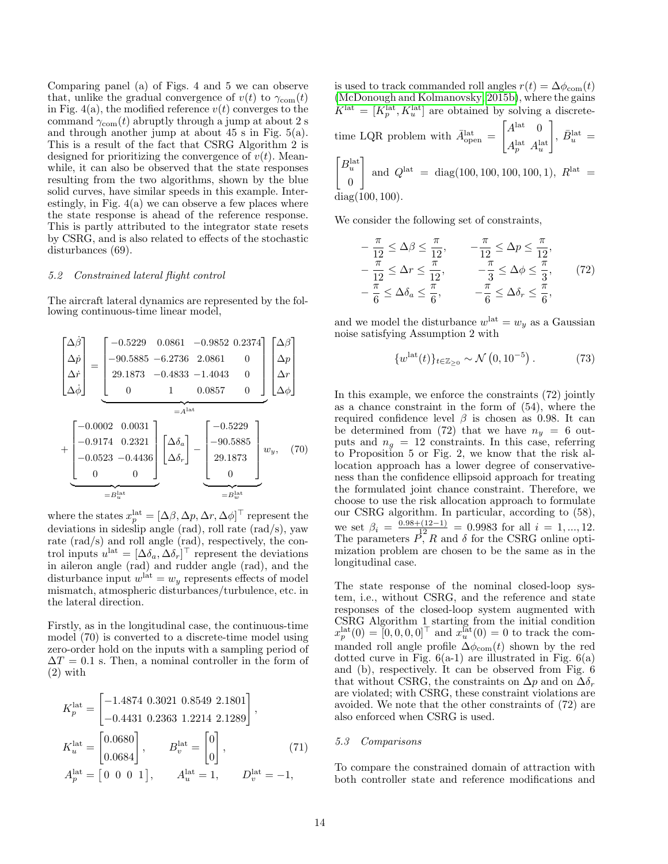Comparing panel (a) of Figs. 4 and 5 we can observe that, unlike the gradual convergence of  $v(t)$  to  $\gamma_{\text{com}}(t)$ in Fig. 4(a), the modified reference  $v(t)$  converges to the command  $\gamma_{\text{com}}(t)$  abruptly through a jump at about 2 s and through another jump at about 45 s in Fig. 5(a). This is a result of the fact that CSRG Algorithm 2 is designed for prioritizing the convergence of  $v(t)$ . Meanwhile, it can also be observed that the state responses resulting from the two algorithms, shown by the blue solid curves, have similar speeds in this example. Interestingly, in Fig.  $4(a)$  we can observe a few places where the state response is ahead of the reference response. This is partly attributed to the integrator state resets by CSRG, and is also related to effects of the stochastic disturbances (69).

## 5.2 Constrained lateral flight control

The aircraft lateral dynamics are represented by the following continuous-time linear model,



where the states  $x_p^{\text{lat}} = [\Delta \beta, \Delta p, \Delta r, \Delta \phi]^\top$  represent the deviations in sideslip angle (rad), roll rate (rad/s), yaw rate (rad/s) and roll angle (rad), respectively, the control inputs  $u^{\text{lat}} = [\Delta \delta_a, \Delta \delta_r]^\top$  represent the deviations in aileron angle (rad) and rudder angle (rad), and the disturbance input  $w^{\text{lat}} = w_y$  represents effects of model mismatch, atmospheric disturbances/turbulence, etc. in the lateral direction.

Firstly, as in the longitudinal case, the continuous-time model (70) is converted to a discrete-time model using zero-order hold on the inputs with a sampling period of  $\Delta T = 0.1$  s. Then, a nominal controller in the form of (2) with

$$
K_p^{\text{lat}} = \begin{bmatrix} -1.4874 & 0.3021 & 0.8549 & 2.1801 \\ -0.4431 & 0.2363 & 1.2214 & 2.1289 \end{bmatrix},
$$
  
\n
$$
K_u^{\text{lat}} = \begin{bmatrix} 0.0680 \\ 0.0684 \end{bmatrix}, \qquad B_v^{\text{lat}} = \begin{bmatrix} 0 \\ 0 \end{bmatrix}, \qquad (71)
$$
  
\n
$$
A_p^{\text{lat}} = \begin{bmatrix} 0 & 0 & 0 & 1 \end{bmatrix}, \qquad A_u^{\text{lat}} = 1, \qquad D_v^{\text{lat}} = -1,
$$

is used to track commanded roll angles  $r(t) = \Delta \phi_{com}(t)$ [\(McDonough and Kolmanovsky, 2015b\)](#page-16-3), where the gains  $K^{\text{lat}} = [K^{\text{lat}}_{p}, K^{\text{lat}}_{u}]$  are obtained by solving a discretetime LQR problem with  $\bar{A}_{open}^{\text{lat}} =$  $A<sup>lat</sup> 0$  $A_p^{\rm lat}$   $A_u^{\rm lat}$  $\Big], \, \bar{B}_u^{\rm lat} \,=\,$  $B_u^{\text{lat}}$  $\overline{0}$ 1 and  $Q^{\text{lat}} = \text{diag}(100, 100, 100, 100, 1)$ ,  $R^{\text{lat}} =$ diag(100, 100).

We consider the following set of constraints,

$$
-\frac{\pi}{12} \leq \Delta \beta \leq \frac{\pi}{12}, \qquad -\frac{\pi}{12} \leq \Delta p \leq \frac{\pi}{12},
$$
  

$$
-\frac{\pi}{12} \leq \Delta r \leq \frac{\pi}{12}, \qquad -\frac{\pi}{3} \leq \Delta \phi \leq \frac{\pi}{3}, \qquad (72)
$$
  

$$
-\frac{\pi}{6} \leq \Delta \delta_a \leq \frac{\pi}{6}, \qquad -\frac{\pi}{6} \leq \Delta \delta_r \leq \frac{\pi}{6},
$$

and we model the disturbance  $w^{\text{lat}} = w_y$  as a Gaussian noise satisfying Assumption 2 with

$$
\{w^{\text{lat}}(t)\}_{t \in \mathbb{Z}_{\geq 0}} \sim \mathcal{N}\left(0, 10^{-5}\right). \tag{73}
$$

In this example, we enforce the constraints (72) jointly as a chance constraint in the form of (54), where the required confidence level  $\beta$  is chosen as 0.98. It can be determined from (72) that we have  $n_y = 6$  outputs and  $n_q = 12$  constraints. In this case, referring to Proposition 5 or Fig. 2, we know that the risk allocation approach has a lower degree of conservativeness than the confidence ellipsoid approach for treating the formulated joint chance constraint. Therefore, we choose to use the risk allocation approach to formulate our CSRG algorithm. In particular, according to (58), we set  $\beta_i = \frac{0.98 + (12 - 1)}{1^2} = 0.9983$  for all  $i = 1, ..., 12$ .<br>The parameters  $P, R$  and  $\delta$  for the CSRG online optimization problem are chosen to be the same as in the longitudinal case.

The state response of the nominal closed-loop system, i.e., without CSRG, and the reference and state responses of the closed-loop system augmented with CSRG Algorithm 1 starting from the initial condition  $x_p^{\text{lat}}(0) = [0, 0, 0, 0]^\top$  and  $x_u^{\text{lat}}(0) = 0$  to track the commanded roll angle profile  $\Delta\phi_{\text{com}}(t)$  shown by the red dotted curve in Fig.  $6(a-1)$  are illustrated in Fig.  $6(a)$ and (b), respectively. It can be observed from Fig. 6 that without CSRG, the constraints on  $\Delta p$  and on  $\Delta \delta_r$ are violated; with CSRG, these constraint violations are avoided. We note that the other constraints of (72) are also enforced when CSRG is used.

### 5.3 Comparisons

To compare the constrained domain of attraction with both controller state and reference modifications and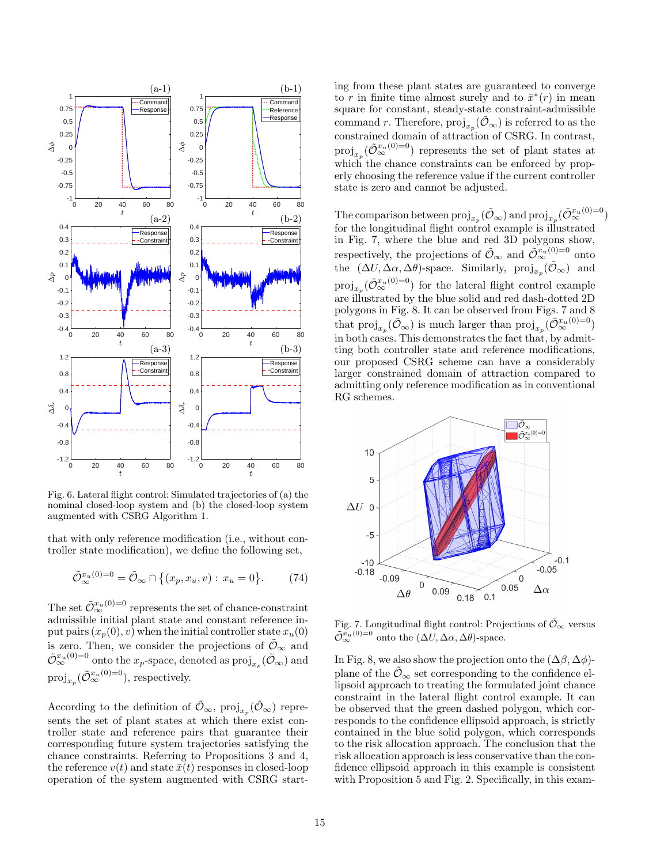

Fig. 6. Lateral flight control: Simulated trajectories of (a) the nominal closed-loop system and (b) the closed-loop system augmented with CSRG Algorithm 1.

that with only reference modification (i.e., without controller state modification), we define the following set,

$$
\tilde{\mathcal{O}}_{\infty}^{x_u(0)=0} = \tilde{\mathcal{O}}_{\infty} \cap \{(x_p, x_u, v) : x_u = 0\}.
$$
 (74)

The set  $\tilde{\mathcal{O}}_{\infty}^{x_u(0)=0}$  represents the set of chance-constraint admissible initial plant state and constant reference input pairs  $(x_p(0), v)$  when the initial controller state  $x_u(0)$ is zero. Then, we consider the projections of  $\tilde{\mathcal{O}}_{\infty}$  and  $\tilde{\mathcal{O}}_{\infty}^{x_u(0)=0}$  onto the  $x_p$ -space, denoted as  $\text{proj}_{x_p}(\tilde{\mathcal{O}}_{\infty})$  and  $\mathrm{proj}_{x_p}(\tilde{\mathcal{O}}_{\infty}^{x_u(0)=0}),$  respectively.

According to the definition of  $\tilde{\mathcal{O}}_{\infty}$ ,  $\text{proj}_{x_p}(\tilde{\mathcal{O}}_{\infty})$  represents the set of plant states at which there exist controller state and reference pairs that guarantee their corresponding future system trajectories satisfying the chance constraints. Referring to Propositions 3 and 4, the reference  $v(t)$  and state  $\bar{x}(t)$  responses in closed-loop operation of the system augmented with CSRG starting from these plant states are guaranteed to converge to r in finite time almost surely and to  $\bar{x}^*(r)$  in mean square for constant, steady-state constraint-admissible command r. Therefore,  $\text{proj}_{x_p}(\tilde{\mathcal{O}}_{\infty})$  is referred to as the constrained domain of attraction of CSRG. In contrast,  $\text{proj}_{x_p}(\tilde{\mathcal{O}}_{\infty}^{x_u(0)=0})$  represents the set of plant states at which the chance constraints can be enforced by properly choosing the reference value if the current controller state is zero and cannot be adjusted.

The comparison between  $\mathrm{proj}_{x_p}(\tilde{\mathcal{O}}_\infty)$  and  $\mathrm{proj}_{x_p}(\tilde{\mathcal{O}}_\infty^{x_u(0)=0})$ for the longitudinal flight control example is illustrated in Fig. 7, where the blue and red 3D polygons show, respectively, the projections of  $\tilde{\mathcal{O}}_{\infty}$  and  $\tilde{\mathcal{O}}_{\infty}^{x_u(0)=0}$  onto the  $(\Delta U, \Delta \alpha, \Delta \theta)$ -space. Similarly,  $\text{proj}_{x_p}(\tilde{\mathcal{O}}_{\infty})$  and  $\text{proj}_{x_p}(\tilde{\mathcal{O}}_{\infty}^{x_u(0)=0})$  for the lateral flight control example are illustrated by the blue solid and red dash-dotted 2D polygons in Fig. 8. It can be observed from Figs. 7 and 8 that  $\mathrm{proj}_{x_p}(\tilde{\mathcal{O}}_{\infty})$  is much larger than  $\mathrm{proj}_{x_p}(\tilde{\mathcal{O}}_{\infty}^{x_u(0)=0})$ in both cases. This demonstrates the fact that, by admitting both controller state and reference modifications, our proposed CSRG scheme can have a considerably larger constrained domain of attraction compared to admitting only reference modification as in conventional RG schemes.



Fig. 7. Longitudinal flight control: Projections of  $\tilde{\mathcal{O}}_{\infty}$  versus  $\tilde{\mathcal{O}}_{\infty}^{x_u(0)=0}$  onto the  $(\Delta U, \Delta \alpha, \Delta \theta)$ -space.

In Fig. 8, we also show the projection onto the  $(\Delta \beta, \Delta \phi)$ plane of the  $\tilde{\mathcal{O}}_{\infty}$  set corresponding to the confidence ellipsoid approach to treating the formulated joint chance constraint in the lateral flight control example. It can be observed that the green dashed polygon, which corresponds to the confidence ellipsoid approach, is strictly contained in the blue solid polygon, which corresponds to the risk allocation approach. The conclusion that the risk allocation approach is less conservative than the confidence ellipsoid approach in this example is consistent with Proposition 5 and Fig. 2. Specifically, in this exam-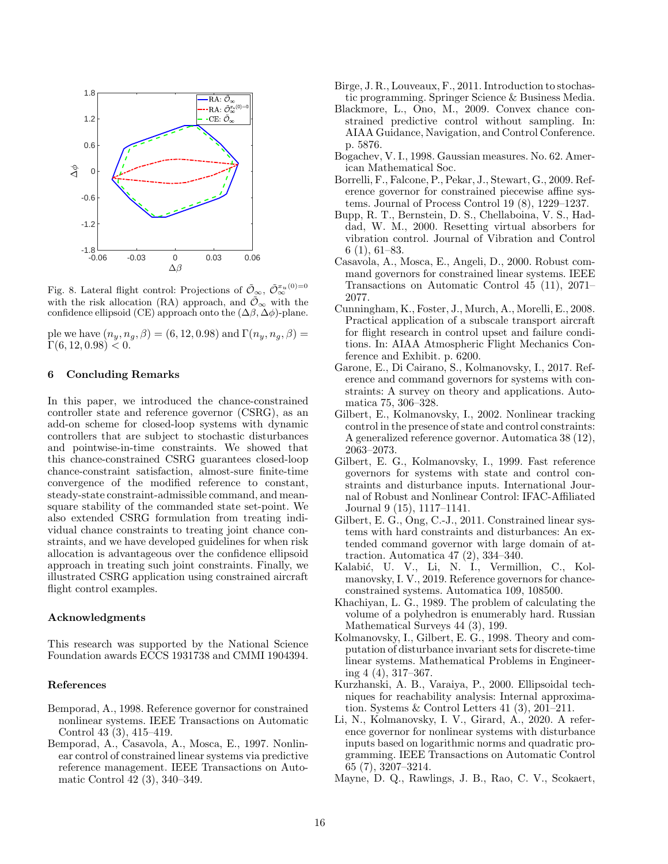

Fig. 8. Lateral flight control: Projections of  $\tilde{\mathcal{O}}_{\infty}, \tilde{\mathcal{O}}_{\infty}^{x_u(0)=0}$ with the risk allocation (RA) approach, and  $\mathcal{O}_{\infty}$  with the confidence ellipsoid (CE) approach onto the  $(\Delta \beta, \Delta \phi)$ -plane.

ple we have  $(n_y, n_g, \beta) = (6, 12, 0.98)$  and  $\Gamma(n_y, n_g, \beta) =$  $\Gamma(6, 12, 0.98) < 0.$ 

# 6 Concluding Remarks

In this paper, we introduced the chance-constrained controller state and reference governor (CSRG), as an add-on scheme for closed-loop systems with dynamic controllers that are subject to stochastic disturbances and pointwise-in-time constraints. We showed that this chance-constrained CSRG guarantees closed-loop chance-constraint satisfaction, almost-sure finite-time convergence of the modified reference to constant, steady-state constraint-admissible command, and meansquare stability of the commanded state set-point. We also extended CSRG formulation from treating individual chance constraints to treating joint chance constraints, and we have developed guidelines for when risk allocation is advantageous over the confidence ellipsoid approach in treating such joint constraints. Finally, we illustrated CSRG application using constrained aircraft flight control examples.

#### Acknowledgments

This research was supported by the National Science Foundation awards ECCS 1931738 and CMMI 1904394.

# References

- <span id="page-15-4"></span>Bemporad, A., 1998. Reference governor for constrained nonlinear systems. IEEE Transactions on Automatic Control 43 (3), 415–419.
- <span id="page-15-3"></span>Bemporad, A., Casavola, A., Mosca, E., 1997. Nonlinear control of constrained linear systems via predictive reference management. IEEE Transactions on Automatic Control 42 (3), 340–349.
- <span id="page-15-11"></span>Birge, J. R., Louveaux, F., 2011. Introduction to stochastic programming. Springer Science & Business Media.
- <span id="page-15-15"></span>Blackmore, L., Ono, M., 2009. Convex chance constrained predictive control without sampling. In: AIAA Guidance, Navigation, and Control Conference. p. 5876.
- <span id="page-15-13"></span>Bogachev, V. I., 1998. Gaussian measures. No. 62. American Mathematical Soc.
- <span id="page-15-5"></span>Borrelli, F., Falcone, P., Pekar, J., Stewart, G., 2009. Reference governor for constrained piecewise affine systems. Journal of Process Control 19 (8), 1229–1237.
- <span id="page-15-2"></span>Bupp, R. T., Bernstein, D. S., Chellaboina, V. S., Haddad, W. M., 2000. Resetting virtual absorbers for vibration control. Journal of Vibration and Control 6 (1), 61–83.
- <span id="page-15-7"></span>Casavola, A., Mosca, E., Angeli, D., 2000. Robust command governors for constrained linear systems. IEEE Transactions on Automatic Control 45 (11), 2071– 2077.
- <span id="page-15-18"></span>Cunningham, K., Foster, J., Murch, A., Morelli, E., 2008. Practical application of a subscale transport aircraft for flight research in control upset and failure conditions. In: AIAA Atmospheric Flight Mechanics Conference and Exhibit. p. 6200.
- <span id="page-15-0"></span>Garone, E., Di Cairano, S., Kolmanovsky, I., 2017. Reference and command governors for systems with constraints: A survey on theory and applications. Automatica 75, 306–328.
- <span id="page-15-8"></span>Gilbert, E., Kolmanovsky, I., 2002. Nonlinear tracking control in the presence of state and control constraints: A generalized reference governor. Automatica 38 (12), 2063–2073.
- <span id="page-15-6"></span>Gilbert, E. G., Kolmanovsky, I., 1999. Fast reference governors for systems with state and control constraints and disturbance inputs. International Journal of Robust and Nonlinear Control: IFAC-Affiliated Journal 9 (15), 1117–1141.
- <span id="page-15-9"></span>Gilbert, E. G., Ong, C.-J., 2011. Constrained linear systems with hard constraints and disturbances: An extended command governor with large domain of attraction. Automatica 47 (2), 334–340.
- <span id="page-15-12"></span>Kalabić, U. V., Li, N. I., Vermillion, C., Kolmanovsky, I. V., 2019. Reference governors for chanceconstrained systems. Automatica 109, 108500.
- <span id="page-15-14"></span>Khachiyan, L. G., 1989. The problem of calculating the volume of a polyhedron is enumerably hard. Russian Mathematical Surveys 44 (3), 199.
- <span id="page-15-17"></span>Kolmanovsky, I., Gilbert, E. G., 1998. Theory and computation of disturbance invariant sets for discrete-time linear systems. Mathematical Problems in Engineering 4 (4), 317–367.
- <span id="page-15-16"></span>Kurzhanski, A. B., Varaiya, P., 2000. Ellipsoidal techniques for reachability analysis: Internal approximation. Systems & Control Letters 41 (3), 201–211.
- <span id="page-15-10"></span>Li, N., Kolmanovsky, I. V., Girard, A., 2020. A reference governor for nonlinear systems with disturbance inputs based on logarithmic norms and quadratic programming. IEEE Transactions on Automatic Control 65 (7), 3207–3214.
- <span id="page-15-1"></span>Mayne, D. Q., Rawlings, J. B., Rao, C. V., Scokaert,